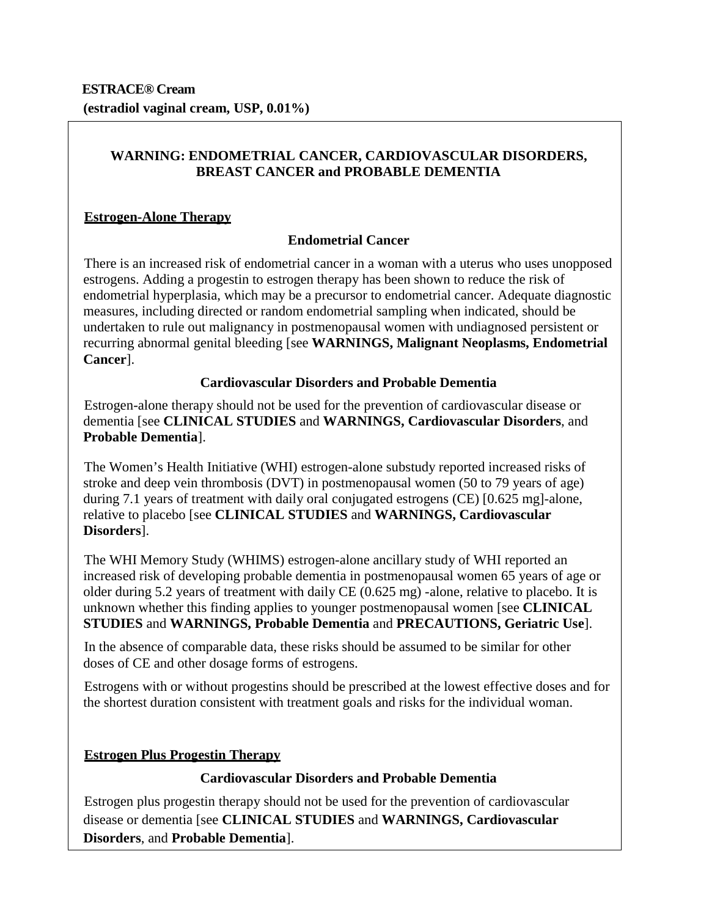# **WARNING: ENDOMETRIAL CANCER, CARDIOVASCULAR DISORDERS, BREAST CANCER and PROBABLE DEMENTIA**

## **Estrogen-Alone Therapy**

## **Endometrial Cancer**

There is an increased risk of endometrial cancer in a woman with a uterus who uses unopposed estrogens. Adding a progestin to estrogen therapy has been shown to reduce the risk of endometrial hyperplasia, which may be a precursor to endometrial cancer. Adequate diagnostic measures, including directed or random endometrial sampling when indicated, should be undertaken to rule out malignancy in postmenopausal women with undiagnosed persistent or recurring abnormal genital bleeding [see **WARNINGS, Malignant Neoplasms, Endometrial Cancer**].

## **Cardiovascular Disorders and Probable Dementia**

Estrogen-alone therapy should not be used for the prevention of cardiovascular disease or dementia [see **CLINICAL STUDIES** and **WARNINGS, Cardiovascular Disorders**, and **Probable Dementia**].

The Women's Health Initiative (WHI) estrogen-alone substudy reported increased risks of stroke and deep vein thrombosis (DVT) in postmenopausal women (50 to 79 years of age) during 7.1 years of treatment with daily oral conjugated estrogens (CE) [0.625 mg]-alone, relative to placebo [see **CLINICAL STUDIES** and **WARNINGS, Cardiovascular Disorders**].

The WHI Memory Study (WHIMS) estrogen-alone ancillary study of WHI reported an increased risk of developing probable dementia in postmenopausal women 65 years of age or older during 5.2 years of treatment with daily CE (0.625 mg) -alone, relative to placebo. It is unknown whether this finding applies to younger postmenopausal women [see **CLINICAL STUDIES** and **WARNINGS, Probable Dementia** and **PRECAUTIONS, Geriatric Use**].

In the absence of comparable data, these risks should be assumed to be similar for other doses of CE and other dosage forms of estrogens.

Estrogens with or without progestins should be prescribed at the lowest effective doses and for the shortest duration consistent with treatment goals and risks for the individual woman.

# **Estrogen Plus Progestin Therapy**

## **Cardiovascular Disorders and Probable Dementia**

Estrogen plus progestin therapy should not be used for the prevention of cardiovascular disease or dementia [see **CLINICAL STUDIES** and **WARNINGS, Cardiovascular Disorders**, and **Probable Dementia**].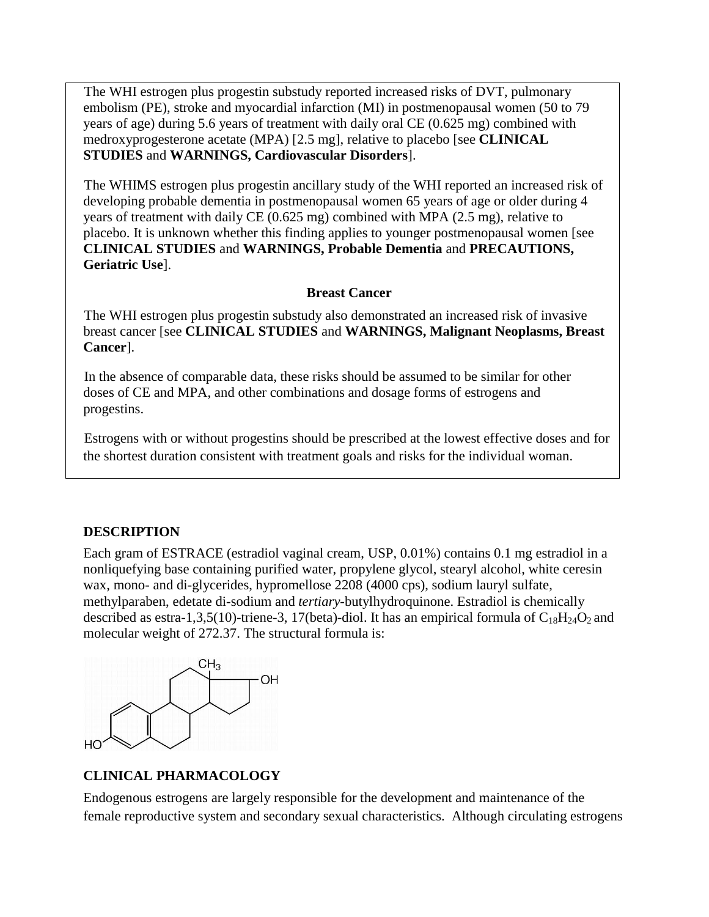The WHI estrogen plus progestin substudy reported increased risks of DVT, pulmonary embolism (PE), stroke and myocardial infarction (MI) in postmenopausal women (50 to 79 years of age) during 5.6 years of treatment with daily oral CE (0.625 mg) combined with medroxyprogesterone acetate (MPA) [2.5 mg], relative to placebo [see **CLINICAL STUDIES** and **WARNINGS, Cardiovascular Disorders**].

The WHIMS estrogen plus progestin ancillary study of the WHI reported an increased risk of developing probable dementia in postmenopausal women 65 years of age or older during 4 years of treatment with daily CE (0.625 mg) combined with MPA (2.5 mg), relative to placebo. It is unknown whether this finding applies to younger postmenopausal women [see **CLINICAL STUDIES** and **WARNINGS, Probable Dementia** and **PRECAUTIONS, Geriatric Use**].

#### **Breast Cancer**

The WHI estrogen plus progestin substudy also demonstrated an increased risk of invasive breast cancer [see **CLINICAL STUDIES** and **WARNINGS, Malignant Neoplasms, Breast Cancer**].

In the absence of comparable data, these risks should be assumed to be similar for other doses of CE and MPA, and other combinations and dosage forms of estrogens and progestins.

Estrogens with or without progestins should be prescribed at the lowest effective doses and for the shortest duration consistent with treatment goals and risks for the individual woman.

#### **DESCRIPTION**

Each gram of ESTRACE (estradiol vaginal cream, USP, 0.01%) contains 0.1 mg estradiol in a nonliquefying base containing purified water, propylene glycol, stearyl alcohol, white ceresin wax, mono- and di-glycerides, hypromellose 2208 (4000 cps), sodium lauryl sulfate, methylparaben, edetate di-sodium and *tertiary*-butylhydroquinone. Estradiol is chemically described as estra-1,3,5(10)-triene-3, 17(beta)-diol. It has an empirical formula of  $C_{18}H_{24}O_2$  and molecular weight of 272.37. The structural formula is:



## **CLINICAL PHARMACOLOGY**

Endogenous estrogens are largely responsible for the development and maintenance of the female reproductive system and secondary sexual characteristics. Although circulating estrogens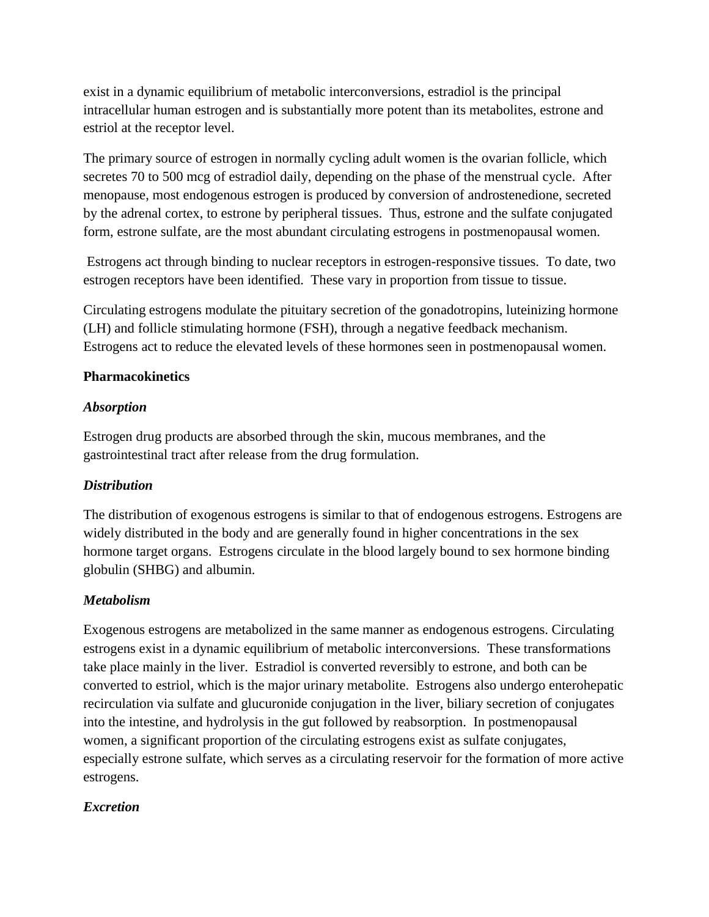exist in a dynamic equilibrium of metabolic interconversions, estradiol is the principal intracellular human estrogen and is substantially more potent than its metabolites, estrone and estriol at the receptor level.

The primary source of estrogen in normally cycling adult women is the ovarian follicle, which secretes 70 to 500 mcg of estradiol daily, depending on the phase of the menstrual cycle. After menopause, most endogenous estrogen is produced by conversion of androstenedione, secreted by the adrenal cortex, to estrone by peripheral tissues. Thus, estrone and the sulfate conjugated form, estrone sulfate, are the most abundant circulating estrogens in postmenopausal women.

Estrogens act through binding to nuclear receptors in estrogen-responsive tissues. To date, two estrogen receptors have been identified. These vary in proportion from tissue to tissue.

Circulating estrogens modulate the pituitary secretion of the gonadotropins, luteinizing hormone (LH) and follicle stimulating hormone (FSH), through a negative feedback mechanism. Estrogens act to reduce the elevated levels of these hormones seen in postmenopausal women.

## **Pharmacokinetics**

## *Absorption*

Estrogen drug products are absorbed through the skin, mucous membranes, and the gastrointestinal tract after release from the drug formulation.

## *Distribution*

The distribution of exogenous estrogens is similar to that of endogenous estrogens. Estrogens are widely distributed in the body and are generally found in higher concentrations in the sex hormone target organs. Estrogens circulate in the blood largely bound to sex hormone binding globulin (SHBG) and albumin.

## *Metabolism*

Exogenous estrogens are metabolized in the same manner as endogenous estrogens. Circulating estrogens exist in a dynamic equilibrium of metabolic interconversions. These transformations take place mainly in the liver. Estradiol is converted reversibly to estrone, and both can be converted to estriol, which is the major urinary metabolite. Estrogens also undergo enterohepatic recirculation via sulfate and glucuronide conjugation in the liver, biliary secretion of conjugates into the intestine, and hydrolysis in the gut followed by reabsorption. In postmenopausal women, a significant proportion of the circulating estrogens exist as sulfate conjugates, especially estrone sulfate, which serves as a circulating reservoir for the formation of more active estrogens.

## *Excretion*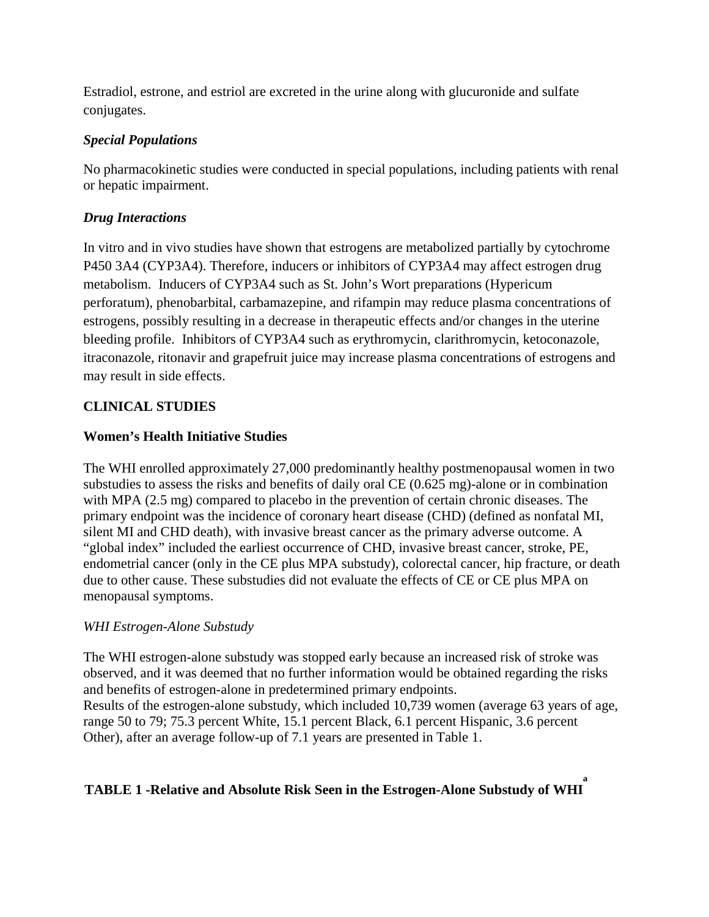Estradiol, estrone, and estriol are excreted in the urine along with glucuronide and sulfate conjugates.

## *Special Populations*

No pharmacokinetic studies were conducted in special populations, including patients with renal or hepatic impairment.

## *Drug Interactions*

In vitro and in vivo studies have shown that estrogens are metabolized partially by cytochrome P450 3A4 (CYP3A4). Therefore, inducers or inhibitors of CYP3A4 may affect estrogen drug metabolism. Inducers of CYP3A4 such as St. John's Wort preparations (Hypericum perforatum), phenobarbital, carbamazepine, and rifampin may reduce plasma concentrations of estrogens, possibly resulting in a decrease in therapeutic effects and/or changes in the uterine bleeding profile. Inhibitors of CYP3A4 such as erythromycin, clarithromycin, ketoconazole, itraconazole, ritonavir and grapefruit juice may increase plasma concentrations of estrogens and may result in side effects.

## **CLINICAL STUDIES**

## **Women's Health Initiative Studies**

The WHI enrolled approximately 27,000 predominantly healthy postmenopausal women in two substudies to assess the risks and benefits of daily oral CE (0.625 mg)-alone or in combination with MPA (2.5 mg) compared to placebo in the prevention of certain chronic diseases. The primary endpoint was the incidence of coronary heart disease (CHD) (defined as nonfatal MI, silent MI and CHD death), with invasive breast cancer as the primary adverse outcome. A "global index" included the earliest occurrence of CHD, invasive breast cancer, stroke, PE, endometrial cancer (only in the CE plus MPA substudy), colorectal cancer, hip fracture, or death due to other cause. These substudies did not evaluate the effects of CE or CE plus MPA on menopausal symptoms.

## *WHI Estrogen-Alone Substudy*

The WHI estrogen-alone substudy was stopped early because an increased risk of stroke was observed, and it was deemed that no further information would be obtained regarding the risks and benefits of estrogen-alone in predetermined primary endpoints.

Results of the estrogen-alone substudy, which included 10,739 women (average 63 years of age, range 50 to 79; 75.3 percent White, 15.1 percent Black, 6.1 percent Hispanic, 3.6 percent Other), after an average follow-up of 7.1 years are presented in Table 1.

# **a TABLE 1 -Relative and Absolute Risk Seen in the Estrogen-Alone Substudy of WHI**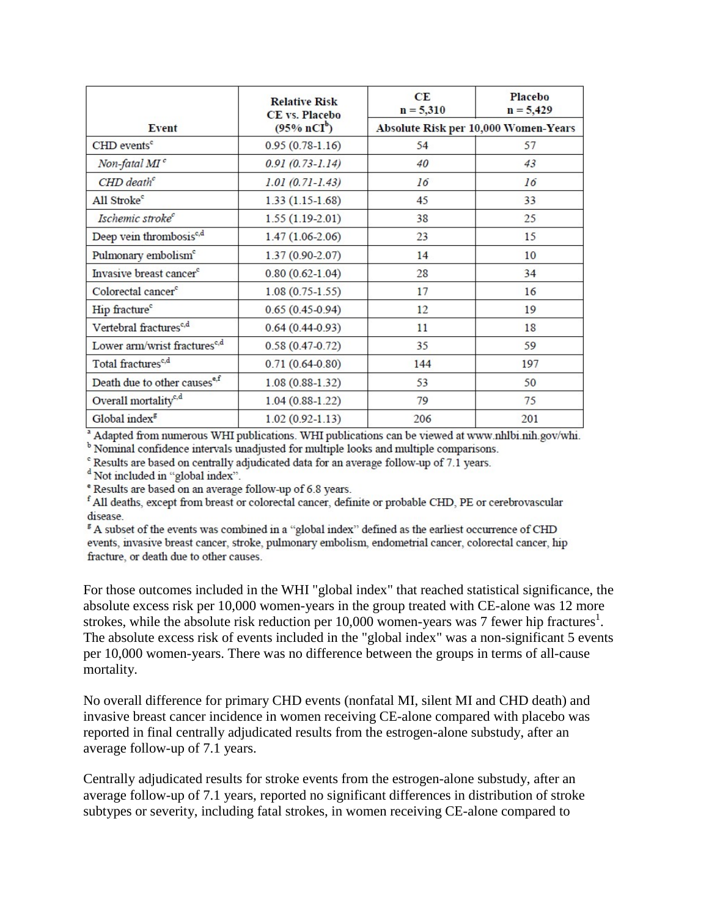| <b>Event</b>                             | <b>Relative Risk</b><br><b>CE</b> vs. Placebo<br>$(95\% \text{ nCI}^b)$ | CE<br>$n = 5,310$                    | Placebo<br>$n = 5,429$ |
|------------------------------------------|-------------------------------------------------------------------------|--------------------------------------|------------------------|
|                                          |                                                                         | Absolute Risk per 10,000 Women-Years |                        |
| CHD events <sup>c</sup>                  | $0.95(0.78-1.16)$                                                       | 54                                   | 57                     |
| Non-fatal MI <sup>c</sup>                | $0.91(0.73 - 1.14)$                                                     | 40                                   | 43                     |
| CHD death <sup>c</sup>                   | $1.01(0.71 - 1.43)$                                                     | 16                                   | 16                     |
| All Stroke <sup>c</sup>                  | $1.33(1.15-1.68)$                                                       | 45                                   | 33                     |
| Ischemic stroke <sup>c</sup>             | $1.55(1.19-2.01)$                                                       | 38                                   | 25                     |
| Deep vein thrombosis <sup>e,d</sup>      | $1.47(1.06-2.06)$                                                       | 23                                   | 15                     |
| Pulmonary embolism <sup>e</sup>          | $1.37(0.90 - 2.07)$                                                     | 14                                   | 10                     |
| Invasive breast cancer <sup>e</sup>      | $0.80(0.62 - 1.04)$                                                     | 28                                   | 34                     |
| Colorectal cancer <sup>c</sup>           | $1.08(0.75-1.55)$                                                       | 17                                   | 16                     |
| Hip fracture <sup>c</sup>                | $0.65(0.45-0.94)$                                                       | 12                                   | 19                     |
| Vertebral fractures <sup>e,d</sup>       | $0.64(0.44-0.93)$                                                       | 11                                   | 18                     |
| Lower arm/wrist fractures <sup>e,d</sup> | $0.58(0.47-0.72)$                                                       | 35                                   | 59                     |
| Total fractures <sup>e,d</sup>           | $0.71(0.64-0.80)$                                                       | 144                                  | 197                    |
| Death due to other causes <sup>e,f</sup> | $1.08(0.88 - 1.32)$                                                     | 53                                   | 50                     |
| Overall mortality <sup>e,d</sup>         | $1.04(0.88-1.22)$                                                       | 79                                   | 75                     |
| Global index <sup>8</sup>                | $1.02(0.92 - 1.13)$                                                     | 206                                  | 201                    |

<sup>a</sup> Adapted from numerous WHI publications. WHI publications can be viewed at www.nhlbi.nih.gov/whi.

<sup>b</sup> Nominal confidence intervals unadjusted for multiple looks and multiple comparisons.

<sup>c</sup> Results are based on centrally adjudicated data for an average follow-up of 7.1 years.

<sup>d</sup> Not included in "global index".

<sup>e</sup> Results are based on an average follow-up of 6.8 years.

f All deaths, except from breast or colorectal cancer, definite or probable CHD, PE or cerebrovascular disease.

<sup>E</sup> A subset of the events was combined in a "global index" defined as the earliest occurrence of CHD events, invasive breast cancer, stroke, pulmonary embolism, endometrial cancer, colorectal cancer, hip fracture, or death due to other causes.

For those outcomes included in the WHI "global index" that reached statistical significance, the absolute excess risk per 10,000 women-years in the group treated with CE-alone was 12 more strokes, while the absolute risk reduction per  $10,000$  women-years was 7 fewer hip fractures<sup>1</sup>. The absolute excess risk of events included in the "global index" was a non-significant 5 events per 10,000 women-years. There was no difference between the groups in terms of all-cause mortality.

No overall difference for primary CHD events (nonfatal MI, silent MI and CHD death) and invasive breast cancer incidence in women receiving CE-alone compared with placebo was reported in final centrally adjudicated results from the estrogen-alone substudy, after an average follow-up of 7.1 years.

Centrally adjudicated results for stroke events from the estrogen-alone substudy, after an average follow-up of 7.1 years, reported no significant differences in distribution of stroke subtypes or severity, including fatal strokes, in women receiving CE-alone compared to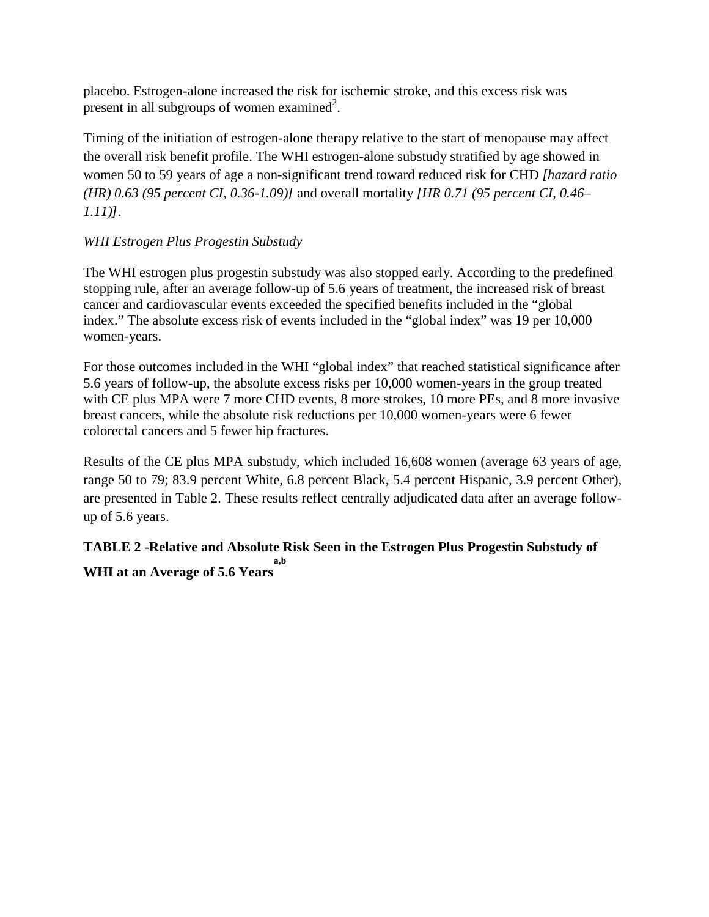placebo. Estrogen-alone increased the risk for ischemic stroke, and this excess risk was present in all subgroups of women examined<sup>2</sup>.

Timing of the initiation of estrogen-alone therapy relative to the start of menopause may affect the overall risk benefit profile. The WHI estrogen-alone substudy stratified by age showed in women 50 to 59 years of age a non-significant trend toward reduced risk for CHD *[hazard ratio (HR) 0.63 (95 percent CI, 0.36-1.09)]* and overall mortality *[HR 0.71 (95 percent CI, 0.46– 1.11)]*.

# *WHI Estrogen Plus Progestin Substudy*

The WHI estrogen plus progestin substudy was also stopped early. According to the predefined stopping rule, after an average follow-up of 5.6 years of treatment, the increased risk of breast cancer and cardiovascular events exceeded the specified benefits included in the "global index." The absolute excess risk of events included in the "global index" was 19 per 10,000 women-years.

For those outcomes included in the WHI "global index" that reached statistical significance after 5.6 years of follow-up, the absolute excess risks per 10,000 women-years in the group treated with CE plus MPA were 7 more CHD events, 8 more strokes, 10 more PEs, and 8 more invasive breast cancers, while the absolute risk reductions per 10,000 women-years were 6 fewer colorectal cancers and 5 fewer hip fractures.

Results of the CE plus MPA substudy, which included 16,608 women (average 63 years of age, range 50 to 79; 83.9 percent White, 6.8 percent Black, 5.4 percent Hispanic, 3.9 percent Other), are presented in Table 2. These results reflect centrally adjudicated data after an average followup of 5.6 years.

#### **TABLE 2 -Relative and Absolute Risk Seen in the Estrogen Plus Progestin Substudy of a,b WHI at an Average of 5.6 Years**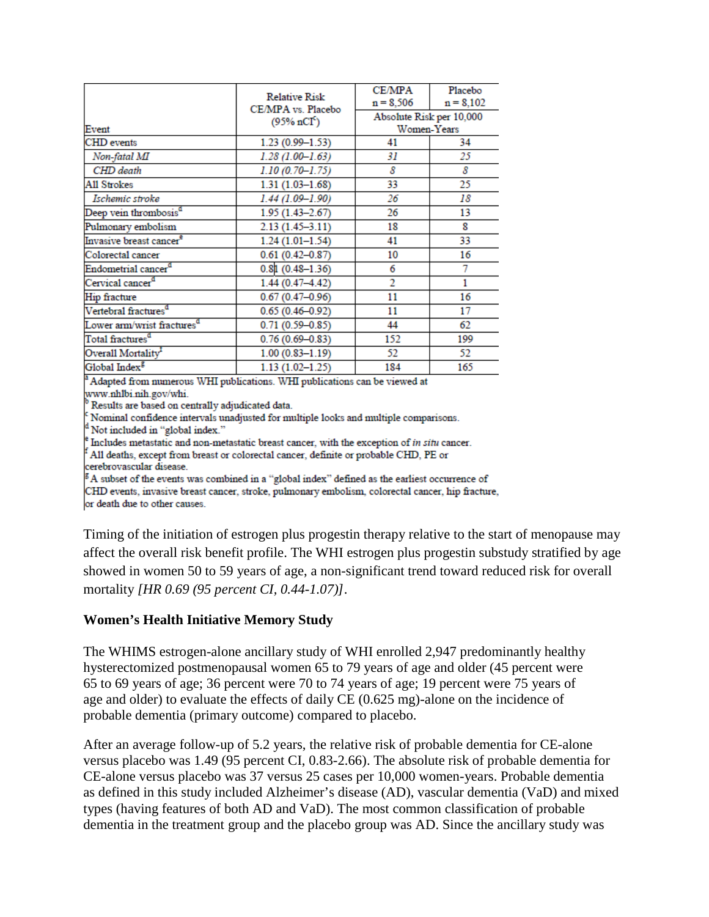|                                                                | <b>Relative Risk</b><br>CE/MPA vs. Placebo                                                                                                                                                                                                                                | <b>CE/MPA</b><br>$n = 8,506$            | Placebo<br>$n = 8,102$ |
|----------------------------------------------------------------|---------------------------------------------------------------------------------------------------------------------------------------------------------------------------------------------------------------------------------------------------------------------------|-----------------------------------------|------------------------|
| Event                                                          | $(95% nCI^c)$                                                                                                                                                                                                                                                             | Absolute Risk per 10,000<br>Women-Years |                        |
| <b>CHD</b> events                                              | $1.23(0.99 - 1.53)$                                                                                                                                                                                                                                                       | 41                                      | 34                     |
| Non-fatal MI                                                   | $1.28(1.00 - 1.63)$                                                                                                                                                                                                                                                       | 31                                      | 25                     |
| CHD death                                                      | $1.10(0.70 - 1.75)$                                                                                                                                                                                                                                                       | 8                                       | 8                      |
| All Strokes                                                    | $1.31(1.03 - 1.68)$                                                                                                                                                                                                                                                       | 33                                      | 25                     |
| Ischemic stroke                                                | $1.44(1.09 - 1.90)$                                                                                                                                                                                                                                                       | 26                                      | 18                     |
| Deep vein thrombosis <sup>d</sup>                              | $1.95(1.43 - 2.67)$                                                                                                                                                                                                                                                       | 26                                      | 13                     |
| Pulmonary embolism                                             | $2.13(1.45-3.11)$                                                                                                                                                                                                                                                         | 18                                      | 8                      |
| Invasive breast cancer <sup>e</sup>                            | $1.24(1.01 - 1.54)$                                                                                                                                                                                                                                                       | 41                                      | 33                     |
| Colorectal cancer                                              | $0.61(0.42 - 0.87)$                                                                                                                                                                                                                                                       | 10                                      | 16                     |
| Endometrial cancer <sup>a</sup>                                | $0.81(0.48 - 1.36)$                                                                                                                                                                                                                                                       | 6                                       |                        |
| Cervical cancer <sup>d</sup>                                   | $1.44(0.47 - 4.42)$                                                                                                                                                                                                                                                       | 2                                       | 1                      |
| Hip fracture                                                   | $0.67(0.47 - 0.96)$                                                                                                                                                                                                                                                       | 11                                      | 16                     |
| Vertebral fractures <sup>d</sup>                               | $0.65(0.46 - 0.92)$                                                                                                                                                                                                                                                       | 11                                      | 17                     |
| Lower arm/wrist fractures <sup>d</sup>                         | $0.71(0.59 - 0.85)$                                                                                                                                                                                                                                                       | 44                                      | 62                     |
| Total fractures <sup>a</sup>                                   | $0.76(0.69 - 0.83)$                                                                                                                                                                                                                                                       | 152                                     | 199                    |
| Overall Mortality <sup>1</sup>                                 | $1.00(0.83 - 1.19)$                                                                                                                                                                                                                                                       | 52                                      | 52                     |
| Global Index <sup>g</sup>                                      | $1.13(1.02 - 1.25)$                                                                                                                                                                                                                                                       | 184                                     | 165                    |
| $\overline{a}$ and $\overline{a}$ and $\overline{a}$<br>------ | and the company of the company of<br><b>The Second Contract Contract Contract Contract Contract Contract Contract Contract Contract Contract Contract Contract Contract Contract Contract Contract Contract Contract Contract Contract Contract Contract Contract Con</b> | . .<br>. .                              |                        |

Adapted from numerous WHI publications. WHI publications can be viewed at

www.nhlbi.nih.gov/whi.

Results are based on centrally adjudicated data.

Nominal confidence intervals unadjusted for multiple looks and multiple comparisons.

Not included in "global index."

Includes metastatic and non-metastatic breast cancer, with the exception of in situ cancer.

All deaths, except from breast or colorectal cancer, definite or probable CHD, PE or cerebrovascular disease.

 ${}^{\mathsf{g}}$  A subset of the events was combined in a "global index" defined as the earliest occurrence of

CHD events, invasive breast cancer, stroke, pulmonary embolism, colorectal cancer, hip fracture,

or death due to other causes.

Timing of the initiation of estrogen plus progestin therapy relative to the start of menopause may affect the overall risk benefit profile. The WHI estrogen plus progestin substudy stratified by age showed in women 50 to 59 years of age, a non-significant trend toward reduced risk for overall mortality *[HR 0.69 (95 percent CI, 0.44-1.07)]*.

#### **Women's Health Initiative Memory Study**

The WHIMS estrogen-alone ancillary study of WHI enrolled 2,947 predominantly healthy hysterectomized postmenopausal women 65 to 79 years of age and older (45 percent were 65 to 69 years of age; 36 percent were 70 to 74 years of age; 19 percent were 75 years of age and older) to evaluate the effects of daily CE (0.625 mg)-alone on the incidence of probable dementia (primary outcome) compared to placebo.

After an average follow-up of 5.2 years, the relative risk of probable dementia for CE-alone versus placebo was 1.49 (95 percent CI, 0.83-2.66). The absolute risk of probable dementia for CE-alone versus placebo was 37 versus 25 cases per 10,000 women-years. Probable dementia as defined in this study included Alzheimer's disease (AD), vascular dementia (VaD) and mixed types (having features of both AD and VaD). The most common classification of probable dementia in the treatment group and the placebo group was AD. Since the ancillary study was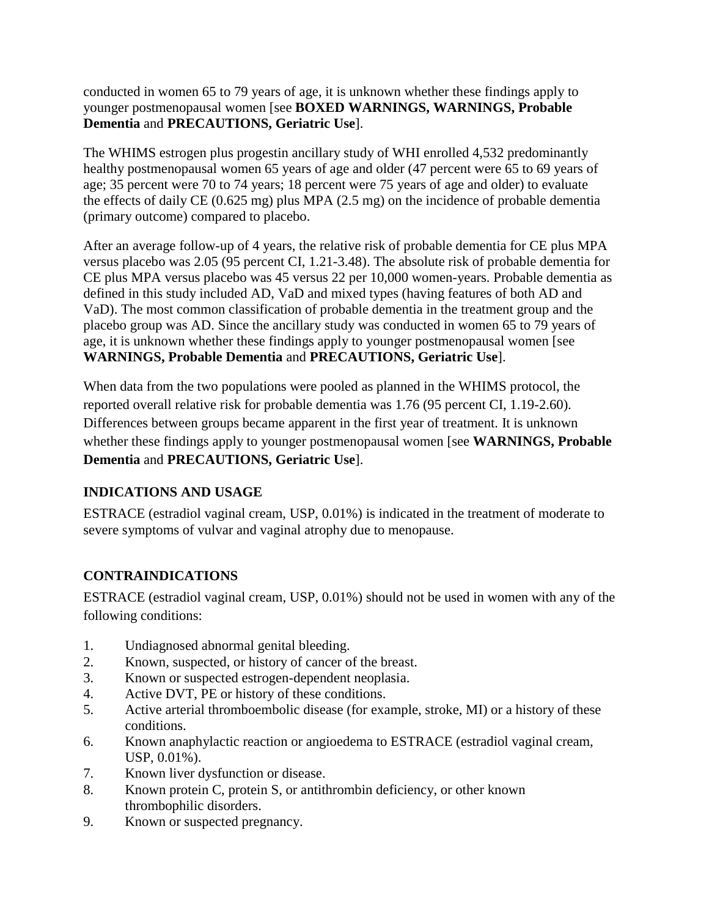conducted in women 65 to 79 years of age, it is unknown whether these findings apply to younger postmenopausal women [see **BOXED WARNINGS, WARNINGS, Probable Dementia** and **PRECAUTIONS, Geriatric Use**].

The WHIMS estrogen plus progestin ancillary study of WHI enrolled 4,532 predominantly healthy postmenopausal women 65 years of age and older (47 percent were 65 to 69 years of age; 35 percent were 70 to 74 years; 18 percent were 75 years of age and older) to evaluate the effects of daily CE (0.625 mg) plus MPA (2.5 mg) on the incidence of probable dementia (primary outcome) compared to placebo.

After an average follow-up of 4 years, the relative risk of probable dementia for CE plus MPA versus placebo was 2.05 (95 percent CI, 1.21-3.48). The absolute risk of probable dementia for CE plus MPA versus placebo was 45 versus 22 per 10,000 women-years. Probable dementia as defined in this study included AD, VaD and mixed types (having features of both AD and VaD). The most common classification of probable dementia in the treatment group and the placebo group was AD. Since the ancillary study was conducted in women 65 to 79 years of age, it is unknown whether these findings apply to younger postmenopausal women [see **WARNINGS, Probable Dementia** and **PRECAUTIONS, Geriatric Use**].

When data from the two populations were pooled as planned in the WHIMS protocol, the reported overall relative risk for probable dementia was 1.76 (95 percent CI, 1.19-2.60). Differences between groups became apparent in the first year of treatment. It is unknown whether these findings apply to younger postmenopausal women [see **WARNINGS, Probable Dementia** and **PRECAUTIONS, Geriatric Use**].

# **INDICATIONS AND USAGE**

ESTRACE (estradiol vaginal cream, USP, 0.01%) is indicated in the treatment of moderate to severe symptoms of vulvar and vaginal atrophy due to menopause.

# **CONTRAINDICATIONS**

ESTRACE (estradiol vaginal cream, USP, 0.01%) should not be used in women with any of the following conditions:

- 1. Undiagnosed abnormal genital bleeding.
- 2. Known, suspected, or history of cancer of the breast.
- 3. Known or suspected estrogen-dependent neoplasia.
- 4. Active DVT, PE or history of these conditions.
- 5. Active arterial thromboembolic disease (for example, stroke, MI) or a history of these conditions.
- 6. Known anaphylactic reaction or angioedema to ESTRACE (estradiol vaginal cream, USP, 0.01%).
- 7. Known liver dysfunction or disease.
- 8. Known protein C, protein S, or antithrombin deficiency, or other known thrombophilic disorders.
- 9. Known or suspected pregnancy.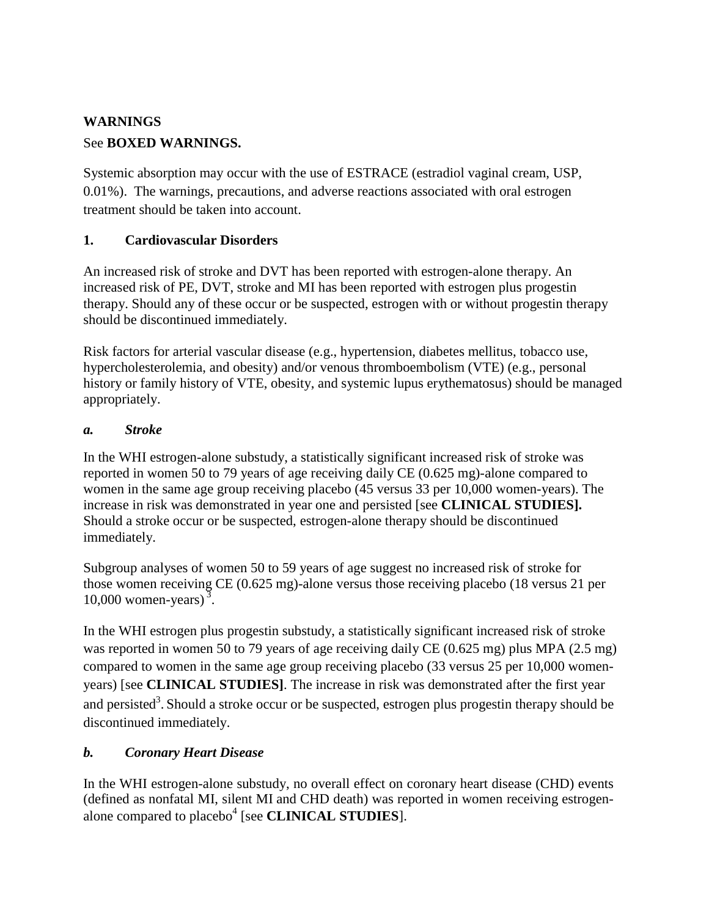# **WARNINGS** See **BOXED WARNINGS.**

Systemic absorption may occur with the use of ESTRACE (estradiol vaginal cream, USP, 0.01%). The warnings, precautions, and adverse reactions associated with oral estrogen treatment should be taken into account.

# **1. Cardiovascular Disorders**

An increased risk of stroke and DVT has been reported with estrogen-alone therapy. An increased risk of PE, DVT, stroke and MI has been reported with estrogen plus progestin therapy. Should any of these occur or be suspected, estrogen with or without progestin therapy should be discontinued immediately.

Risk factors for arterial vascular disease (e.g., hypertension, diabetes mellitus, tobacco use, hypercholesterolemia, and obesity) and/or venous thromboembolism (VTE) (e.g., personal history or family history of VTE, obesity, and systemic lupus erythematosus) should be managed appropriately.

# *a. Stroke*

In the WHI estrogen-alone substudy, a statistically significant increased risk of stroke was reported in women 50 to 79 years of age receiving daily CE (0.625 mg)-alone compared to women in the same age group receiving placebo (45 versus 33 per 10,000 women-years). The increase in risk was demonstrated in year one and persisted [see **CLINICAL STUDIES].**  Should a stroke occur or be suspected, estrogen-alone therapy should be discontinued immediately.

Subgroup analyses of women 50 to 59 years of age suggest no increased risk of stroke for those women receiving CE (0.625 mg)-alone versus those receiving placebo (18 versus 21 per 10,000 women-years) $3$ .

In the WHI estrogen plus progestin substudy, a statistically significant increased risk of stroke was reported in women 50 to 79 years of age receiving daily CE (0.625 mg) plus MPA (2.5 mg) compared to women in the same age group receiving placebo (33 versus 25 per 10,000 womenyears) [see **CLINICAL STUDIES]**. The increase in risk was demonstrated after the first year and persisted<sup>3</sup>. Should a stroke occur or be suspected, estrogen plus progestin therapy should be discontinued immediately.

# *b. Coronary Heart Disease*

In the WHI estrogen-alone substudy, no overall effect on coronary heart disease (CHD) events (defined as nonfatal MI, silent MI and CHD death) was reported in women receiving estrogenalone compared to placebo<sup>4</sup> [see **CLINICAL STUDIES**].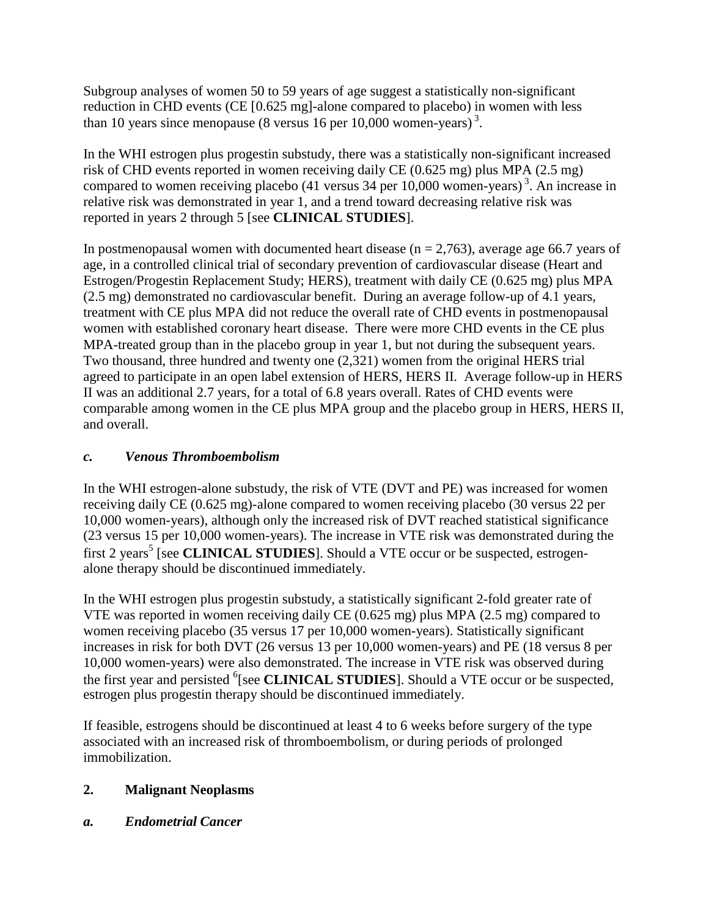Subgroup analyses of women 50 to 59 years of age suggest a statistically non-significant reduction in CHD events (CE [0.625 mg]-alone compared to placebo) in women with less than 10 years since menopause (8 versus 16 per 10,000 women-years)<sup>3</sup>.

In the WHI estrogen plus progestin substudy, there was a statistically non-significant increased risk of CHD events reported in women receiving daily CE (0.625 mg) plus MPA (2.5 mg) compared to women receiving placebo (41 versus 34 per 10,000 women-years)<sup>3</sup>. An increase in relative risk was demonstrated in year 1, and a trend toward decreasing relative risk was reported in years 2 through 5 [see **CLINICAL STUDIES**].

In postmenopausal women with documented heart disease ( $n = 2,763$ ), average age 66.7 years of age, in a controlled clinical trial of secondary prevention of cardiovascular disease (Heart and Estrogen/Progestin Replacement Study; HERS), treatment with daily CE (0.625 mg) plus MPA (2.5 mg) demonstrated no cardiovascular benefit. During an average follow-up of 4.1 years, treatment with CE plus MPA did not reduce the overall rate of CHD events in postmenopausal women with established coronary heart disease. There were more CHD events in the CE plus MPA-treated group than in the placebo group in year 1, but not during the subsequent years. Two thousand, three hundred and twenty one (2,321) women from the original HERS trial agreed to participate in an open label extension of HERS, HERS II. Average follow-up in HERS II was an additional 2.7 years, for a total of 6.8 years overall. Rates of CHD events were comparable among women in the CE plus MPA group and the placebo group in HERS, HERS II, and overall.

## *c. Venous Thromboembolism*

In the WHI estrogen-alone substudy, the risk of VTE (DVT and PE) was increased for women receiving daily CE (0.625 mg)-alone compared to women receiving placebo (30 versus 22 per 10,000 women-years), although only the increased risk of DVT reached statistical significance (23 versus 15 per 10,000 women-years). The increase in VTE risk was demonstrated during the first 2 years<sup>5</sup> [see **CLINICAL STUDIES**]. Should a VTE occur or be suspected, estrogenalone therapy should be discontinued immediately.

In the WHI estrogen plus progestin substudy, a statistically significant 2-fold greater rate of VTE was reported in women receiving daily CE (0.625 mg) plus MPA (2.5 mg) compared to women receiving placebo (35 versus 17 per 10,000 women-years). Statistically significant increases in risk for both DVT (26 versus 13 per 10,000 women-years) and PE (18 versus 8 per 10,000 women-years) were also demonstrated. The increase in VTE risk was observed during the first year and persisted <sup>6</sup>[see **CLINICAL STUDIES**]. Should a VTE occur or be suspected, estrogen plus progestin therapy should be discontinued immediately.

If feasible, estrogens should be discontinued at least 4 to 6 weeks before surgery of the type associated with an increased risk of thromboembolism, or during periods of prolonged immobilization.

# **2. Malignant Neoplasms**

*a. Endometrial Cancer*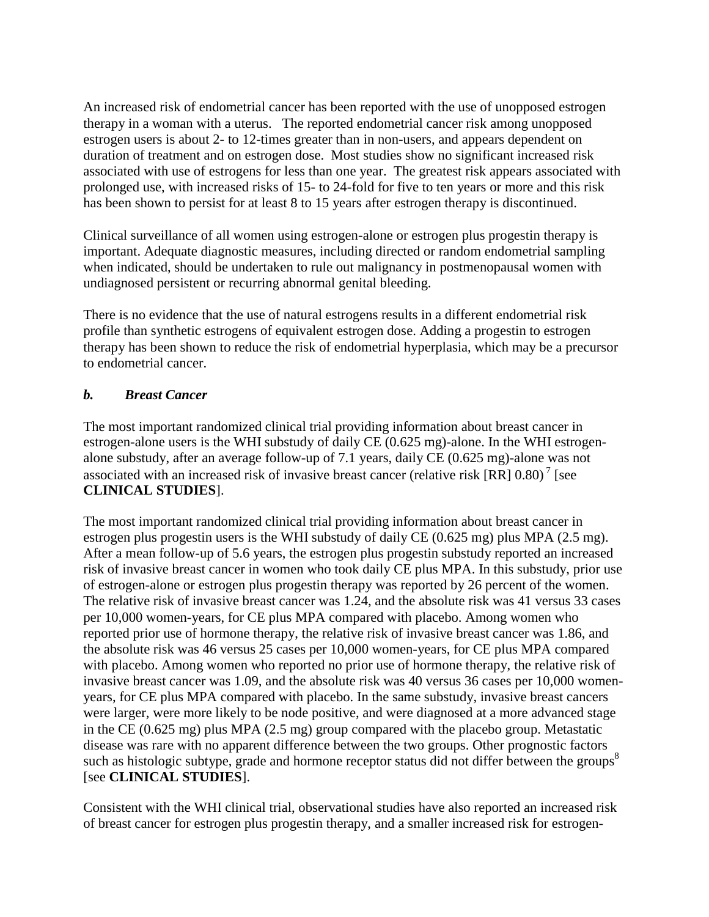An increased risk of endometrial cancer has been reported with the use of unopposed estrogen therapy in a woman with a uterus. The reported endometrial cancer risk among unopposed estrogen users is about 2- to 12-times greater than in non-users, and appears dependent on duration of treatment and on estrogen dose. Most studies show no significant increased risk associated with use of estrogens for less than one year. The greatest risk appears associated with prolonged use, with increased risks of 15- to 24-fold for five to ten years or more and this risk has been shown to persist for at least 8 to 15 years after estrogen therapy is discontinued.

Clinical surveillance of all women using estrogen-alone or estrogen plus progestin therapy is important. Adequate diagnostic measures, including directed or random endometrial sampling when indicated, should be undertaken to rule out malignancy in postmenopausal women with undiagnosed persistent or recurring abnormal genital bleeding.

There is no evidence that the use of natural estrogens results in a different endometrial risk profile than synthetic estrogens of equivalent estrogen dose. Adding a progestin to estrogen therapy has been shown to reduce the risk of endometrial hyperplasia, which may be a precursor to endometrial cancer.

## *b. Breast Cancer*

The most important randomized clinical trial providing information about breast cancer in estrogen-alone users is the WHI substudy of daily CE (0.625 mg)-alone. In the WHI estrogenalone substudy, after an average follow-up of 7.1 years, daily CE (0.625 mg)-alone was not associated with an increased risk of invasive breast cancer (relative risk  $[RR] 0.80$ )<sup>7</sup> [see **CLINICAL STUDIES**].

The most important randomized clinical trial providing information about breast cancer in estrogen plus progestin users is the WHI substudy of daily CE (0.625 mg) plus MPA (2.5 mg). After a mean follow-up of 5.6 years, the estrogen plus progestin substudy reported an increased risk of invasive breast cancer in women who took daily CE plus MPA. In this substudy, prior use of estrogen-alone or estrogen plus progestin therapy was reported by 26 percent of the women. The relative risk of invasive breast cancer was 1.24, and the absolute risk was 41 versus 33 cases per 10,000 women-years, for CE plus MPA compared with placebo. Among women who reported prior use of hormone therapy, the relative risk of invasive breast cancer was 1.86, and the absolute risk was 46 versus 25 cases per 10,000 women-years, for CE plus MPA compared with placebo. Among women who reported no prior use of hormone therapy, the relative risk of invasive breast cancer was 1.09, and the absolute risk was 40 versus 36 cases per 10,000 womenyears, for CE plus MPA compared with placebo. In the same substudy, invasive breast cancers were larger, were more likely to be node positive, and were diagnosed at a more advanced stage in the CE (0.625 mg) plus MPA (2.5 mg) group compared with the placebo group. Metastatic disease was rare with no apparent difference between the two groups. Other prognostic factors such as histologic subtype, grade and hormone receptor status did not differ between the groups<sup>8</sup> [see **CLINICAL STUDIES**].

Consistent with the WHI clinical trial, observational studies have also reported an increased risk of breast cancer for estrogen plus progestin therapy, and a smaller increased risk for estrogen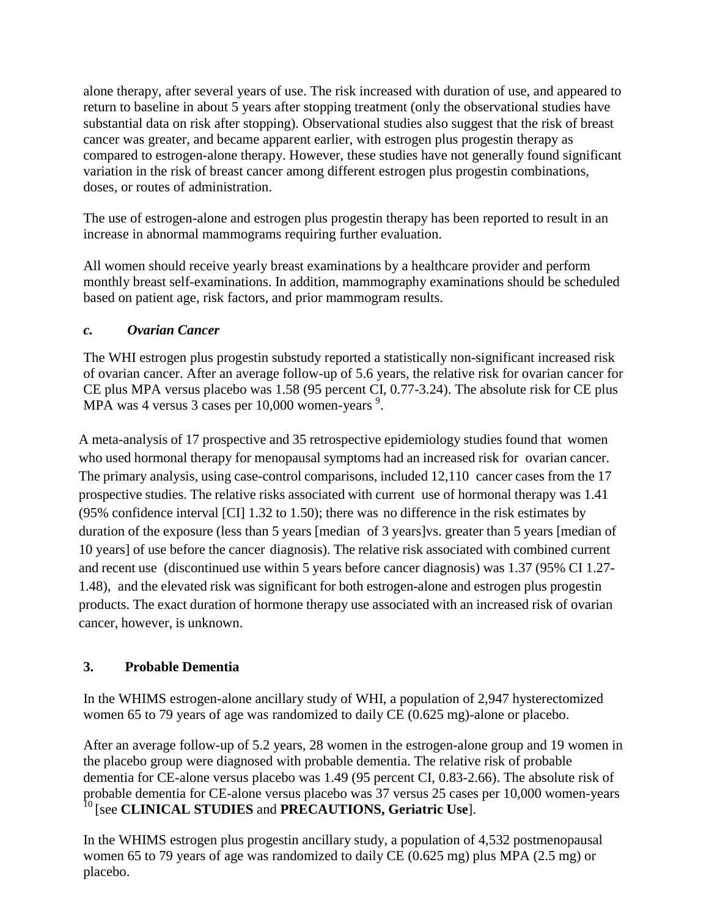alone therapy, after several years of use. The risk increased with duration of use, and appeared to return to baseline in about 5 years after stopping treatment (only the observational studies have substantial data on risk after stopping). Observational studies also suggest that the risk of breast cancer was greater, and became apparent earlier, with estrogen plus progestin therapy as compared to estrogen-alone therapy. However, these studies have not generally found significant variation in the risk of breast cancer among different estrogen plus progestin combinations, doses, or routes of administration.

The use of estrogen-alone and estrogen plus progestin therapy has been reported to result in an increase in abnormal mammograms requiring further evaluation.

All women should receive yearly breast examinations by a healthcare provider and perform monthly breast self-examinations. In addition, mammography examinations should be scheduled based on patient age, risk factors, and prior mammogram results.

## *c. Ovarian Cancer*

The WHI estrogen plus progestin substudy reported a statistically non-significant increased risk of ovarian cancer. After an average follow-up of 5.6 years, the relative risk for ovarian cancer for CE plus MPA versus placebo was 1.58 (95 percent CI, 0.77-3.24). The absolute risk for CE plus MPA was 4 versus 3 cases per 10,000 women-years <sup>9</sup>.

A meta-analysis of 17 prospective and 35 retrospective epidemiology studies found that women who used hormonal therapy for menopausal symptoms had an increased risk for ovarian cancer. The primary analysis, using case-control comparisons, included 12,110 cancer cases from the 17 prospective studies. The relative risks associated with current use of hormonal therapy was 1.41 (95% confidence interval [CI] 1.32 to 1.50); there was no difference in the risk estimates by duration of the exposure (less than 5 years [median of 3 years]vs. greater than 5 years [median of 10 years] of use before the cancer diagnosis). The relative risk associated with combined current and recent use (discontinued use within 5 years before cancer diagnosis) was 1.37 (95% CI 1.27- 1.48), and the elevated risk was significant for both estrogen-alone and estrogen plus progestin products. The exact duration of hormone therapy use associated with an increased risk of ovarian cancer, however, is unknown.

# **3. Probable Dementia**

In the WHIMS estrogen-alone ancillary study of WHI, a population of 2,947 hysterectomized women 65 to 79 years of age was randomized to daily CE (0.625 mg)-alone or placebo.

After an average follow-up of 5.2 years, 28 women in the estrogen-alone group and 19 women in the placebo group were diagnosed with probable dementia. The relative risk of probable dementia for CE-alone versus placebo was 1.49 (95 percent CI, 0.83-2.66). The absolute risk of probable dementia for CE-alone versus placebo was 37 versus 25 cases per 10,000 women-years 10 [see **CLINICAL STUDIES** and **PRECAUTIONS, Geriatric Use**].

In the WHIMS estrogen plus progestin ancillary study, a population of 4,532 postmenopausal women 65 to 79 years of age was randomized to daily CE (0.625 mg) plus MPA (2.5 mg) or placebo.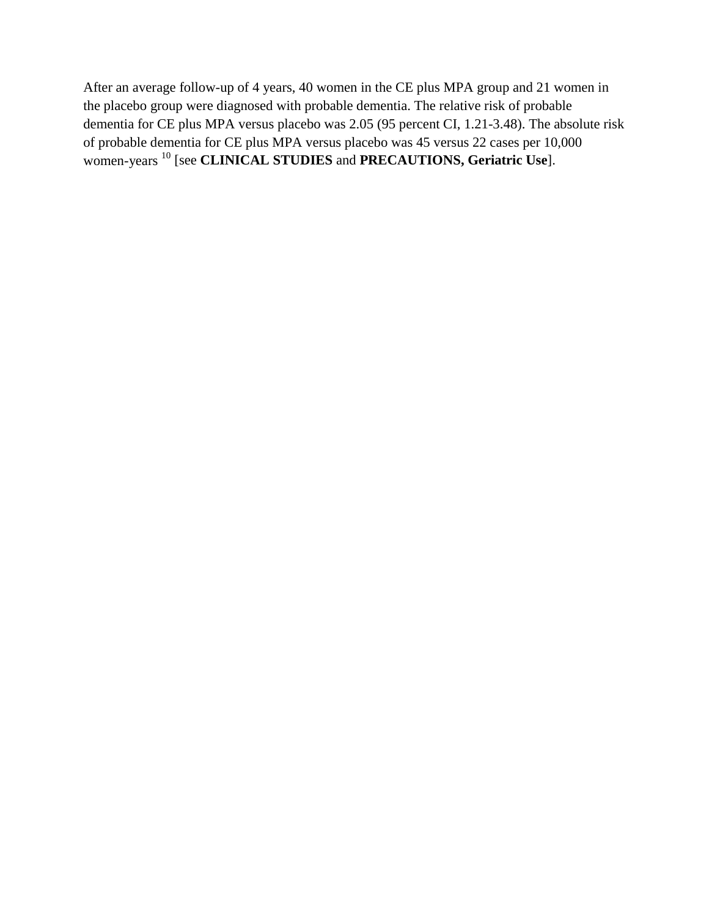After an average follow-up of 4 years, 40 women in the CE plus MPA group and 21 women in the placebo group were diagnosed with probable dementia. The relative risk of probable dementia for CE plus MPA versus placebo was 2.05 (95 percent CI, 1.21-3.48). The absolute risk of probable dementia for CE plus MPA versus placebo was 45 versus 22 cases per 10,000 women-years 10 [see **CLINICAL STUDIES** and **PRECAUTIONS, Geriatric Use**].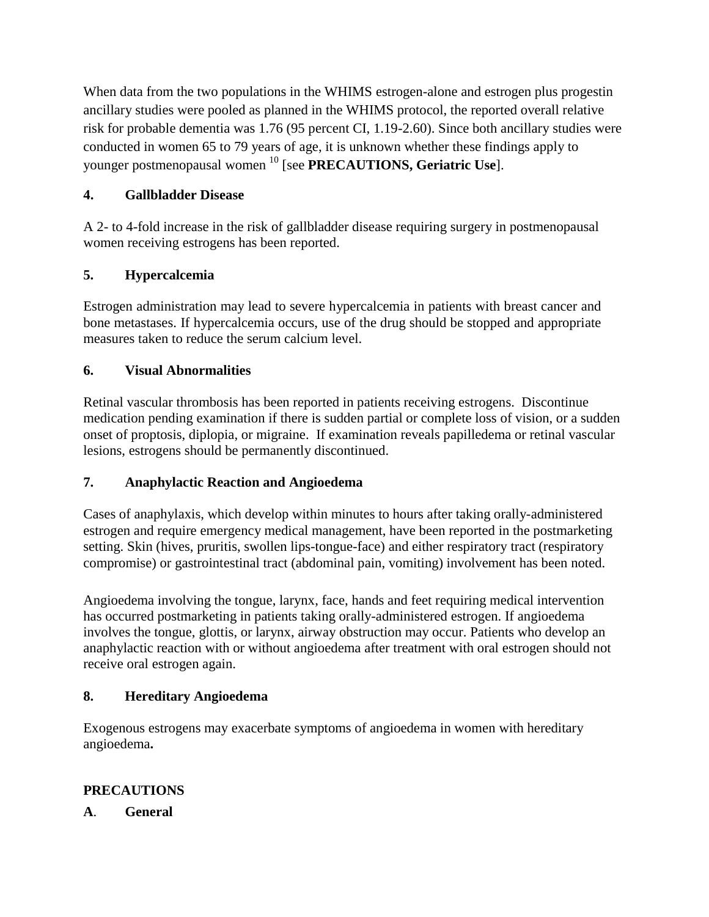When data from the two populations in the WHIMS estrogen-alone and estrogen plus progestin ancillary studies were pooled as planned in the WHIMS protocol, the reported overall relative risk for probable dementia was 1.76 (95 percent CI, 1.19-2.60). Since both ancillary studies were conducted in women 65 to 79 years of age, it is unknown whether these findings apply to younger postmenopausal women 10 [see **PRECAUTIONS, Geriatric Use**].

## **4. Gallbladder Disease**

A 2- to 4-fold increase in the risk of gallbladder disease requiring surgery in postmenopausal women receiving estrogens has been reported.

# **5. Hypercalcemia**

Estrogen administration may lead to severe hypercalcemia in patients with breast cancer and bone metastases. If hypercalcemia occurs, use of the drug should be stopped and appropriate measures taken to reduce the serum calcium level.

## **6. Visual Abnormalities**

Retinal vascular thrombosis has been reported in patients receiving estrogens. Discontinue medication pending examination if there is sudden partial or complete loss of vision, or a sudden onset of proptosis, diplopia, or migraine. If examination reveals papilledema or retinal vascular lesions, estrogens should be permanently discontinued.

## **7. Anaphylactic Reaction and Angioedema**

Cases of anaphylaxis, which develop within minutes to hours after taking orally-administered estrogen and require emergency medical management, have been reported in the postmarketing setting. Skin (hives, pruritis, swollen lips-tongue-face) and either respiratory tract (respiratory compromise) or gastrointestinal tract (abdominal pain, vomiting) involvement has been noted.

Angioedema involving the tongue, larynx, face, hands and feet requiring medical intervention has occurred postmarketing in patients taking orally-administered estrogen. If angioedema involves the tongue, glottis, or larynx, airway obstruction may occur. Patients who develop an anaphylactic reaction with or without angioedema after treatment with oral estrogen should not receive oral estrogen again.

## **8. Hereditary Angioedema**

Exogenous estrogens may exacerbate symptoms of angioedema in women with hereditary angioedema**.**

# **PRECAUTIONS**

**A**. **General**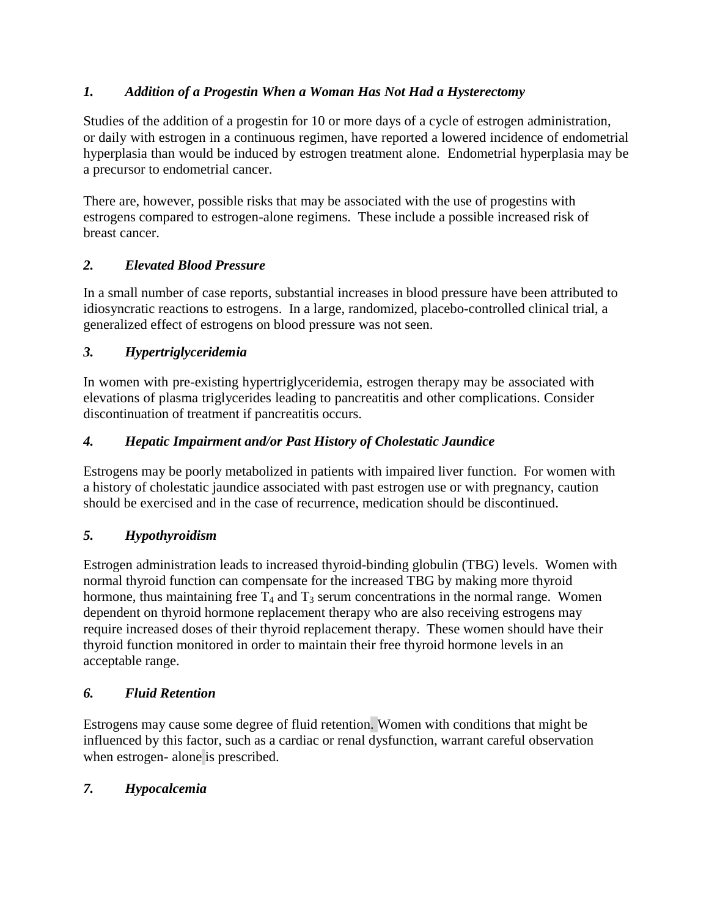# *1. Addition of a Progestin When a Woman Has Not Had a Hysterectomy*

Studies of the addition of a progestin for 10 or more days of a cycle of estrogen administration, or daily with estrogen in a continuous regimen, have reported a lowered incidence of endometrial hyperplasia than would be induced by estrogen treatment alone. Endometrial hyperplasia may be a precursor to endometrial cancer.

There are, however, possible risks that may be associated with the use of progestins with estrogens compared to estrogen-alone regimens. These include a possible increased risk of breast cancer.

# *2. Elevated Blood Pressure*

In a small number of case reports, substantial increases in blood pressure have been attributed to idiosyncratic reactions to estrogens. In a large, randomized, placebo-controlled clinical trial, a generalized effect of estrogens on blood pressure was not seen.

## *3. Hypertriglyceridemia*

In women with pre-existing hypertriglyceridemia, estrogen therapy may be associated with elevations of plasma triglycerides leading to pancreatitis and other complications. Consider discontinuation of treatment if pancreatitis occurs.

# *4. Hepatic Impairment and/or Past History of Cholestatic Jaundice*

Estrogens may be poorly metabolized in patients with impaired liver function. For women with a history of cholestatic jaundice associated with past estrogen use or with pregnancy, caution should be exercised and in the case of recurrence, medication should be discontinued.

# *5. Hypothyroidism*

Estrogen administration leads to increased thyroid-binding globulin (TBG) levels. Women with normal thyroid function can compensate for the increased TBG by making more thyroid hormone, thus maintaining free  $T_4$  and  $T_3$  serum concentrations in the normal range. Women dependent on thyroid hormone replacement therapy who are also receiving estrogens may require increased doses of their thyroid replacement therapy. These women should have their thyroid function monitored in order to maintain their free thyroid hormone levels in an acceptable range.

## *6. Fluid Retention*

Estrogens may cause some degree of fluid retention. Women with conditions that might be influenced by this factor, such as a cardiac or renal dysfunction, warrant careful observation when estrogen- alone is prescribed.

## *7. Hypocalcemia*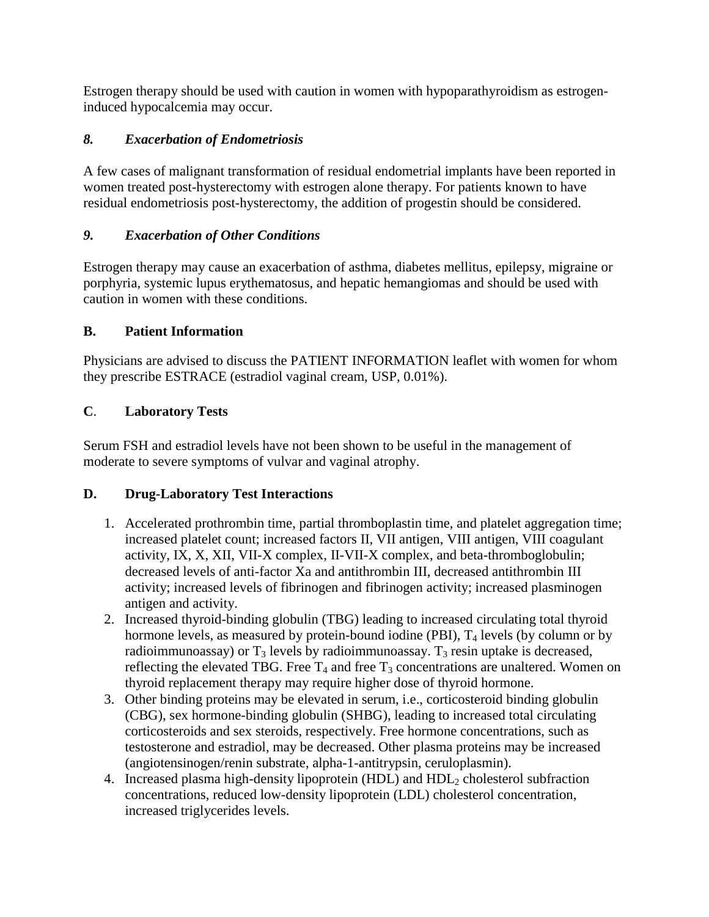Estrogen therapy should be used with caution in women with hypoparathyroidism as estrogeninduced hypocalcemia may occur.

# *8. Exacerbation of Endometriosis*

A few cases of malignant transformation of residual endometrial implants have been reported in women treated post-hysterectomy with estrogen alone therapy. For patients known to have residual endometriosis post-hysterectomy, the addition of progestin should be considered.

# *9. Exacerbation of Other Conditions*

Estrogen therapy may cause an exacerbation of asthma, diabetes mellitus, epilepsy, migraine or porphyria, systemic lupus erythematosus, and hepatic hemangiomas and should be used with caution in women with these conditions.

# **B. Patient Information**

Physicians are advised to discuss the PATIENT INFORMATION leaflet with women for whom they prescribe ESTRACE (estradiol vaginal cream, USP, 0.01%).

# **C**. **Laboratory Tests**

Serum FSH and estradiol levels have not been shown to be useful in the management of moderate to severe symptoms of vulvar and vaginal atrophy.

# **D. Drug-Laboratory Test Interactions**

- 1. Accelerated prothrombin time, partial thromboplastin time, and platelet aggregation time; increased platelet count; increased factors II, VII antigen, VIII antigen, VIII coagulant activity, IX, X, XII, VII-X complex, II-VII-X complex, and beta-thromboglobulin; decreased levels of anti-factor Xa and antithrombin III, decreased antithrombin III activity; increased levels of fibrinogen and fibrinogen activity; increased plasminogen antigen and activity.
- 2. Increased thyroid-binding globulin (TBG) leading to increased circulating total thyroid hormone levels, as measured by protein-bound iodine (PBI),  $T_4$  levels (by column or by radioimmunoassay) or  $T_3$  levels by radioimmunoassay.  $T_3$  resin uptake is decreased, reflecting the elevated TBG. Free  $T_4$  and free  $T_3$  concentrations are unaltered. Women on thyroid replacement therapy may require higher dose of thyroid hormone.
- 3. Other binding proteins may be elevated in serum, i.e., corticosteroid binding globulin (CBG), sex hormone-binding globulin (SHBG), leading to increased total circulating corticosteroids and sex steroids, respectively. Free hormone concentrations, such as testosterone and estradiol, may be decreased. Other plasma proteins may be increased (angiotensinogen/renin substrate, alpha-1-antitrypsin, ceruloplasmin).
- 4. Increased plasma high-density lipoprotein (HDL) and  $HDL<sub>2</sub>$  cholesterol subfraction concentrations, reduced low-density lipoprotein (LDL) cholesterol concentration, increased triglycerides levels.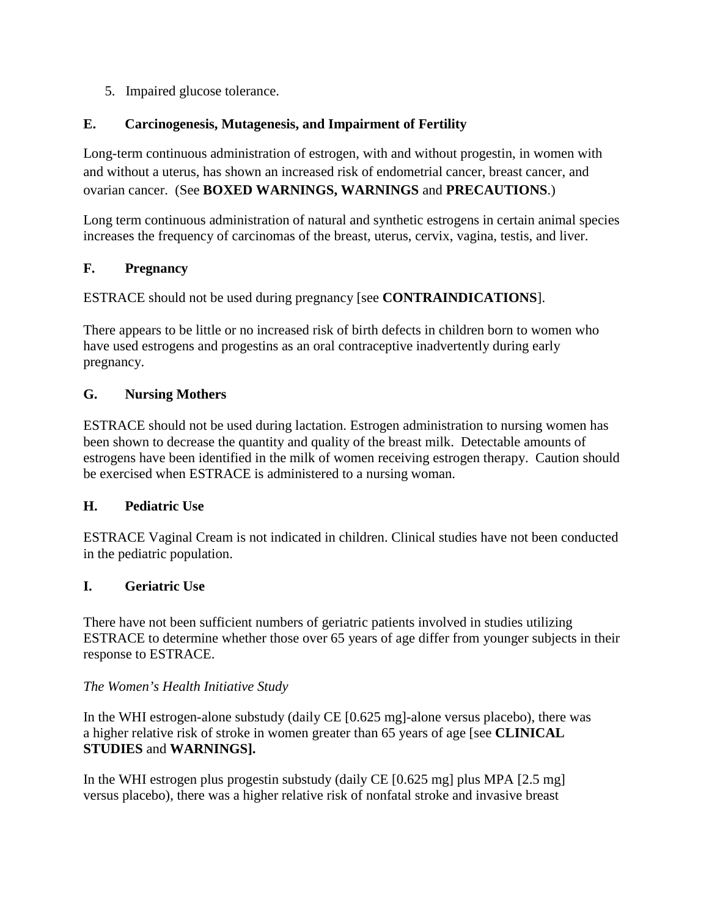5. Impaired glucose tolerance.

## **E. Carcinogenesis, Mutagenesis, and Impairment of Fertility**

Long-term continuous administration of estrogen, with and without progestin, in women with and without a uterus, has shown an increased risk of endometrial cancer, breast cancer, and ovarian cancer. (See **BOXED WARNINGS, WARNINGS** and **PRECAUTIONS**.)

Long term continuous administration of natural and synthetic estrogens in certain animal species increases the frequency of carcinomas of the breast, uterus, cervix, vagina, testis, and liver.

## **F. Pregnancy**

ESTRACE should not be used during pregnancy [see **CONTRAINDICATIONS**].

There appears to be little or no increased risk of birth defects in children born to women who have used estrogens and progestins as an oral contraceptive inadvertently during early pregnancy.

## **G. Nursing Mothers**

ESTRACE should not be used during lactation. Estrogen administration to nursing women has been shown to decrease the quantity and quality of the breast milk. Detectable amounts of estrogens have been identified in the milk of women receiving estrogen therapy. Caution should be exercised when ESTRACE is administered to a nursing woman.

## **H. Pediatric Use**

ESTRACE Vaginal Cream is not indicated in children. Clinical studies have not been conducted in the pediatric population.

## **I. Geriatric Use**

There have not been sufficient numbers of geriatric patients involved in studies utilizing ESTRACE to determine whether those over 65 years of age differ from younger subjects in their response to ESTRACE.

## *The Women's Health Initiative Study*

In the WHI estrogen-alone substudy (daily CE [0.625 mg]-alone versus placebo), there was a higher relative risk of stroke in women greater than 65 years of age [see **CLINICAL STUDIES** and **WARNINGS].**

In the WHI estrogen plus progestin substudy (daily CE [0.625 mg] plus MPA [2.5 mg] versus placebo), there was a higher relative risk of nonfatal stroke and invasive breast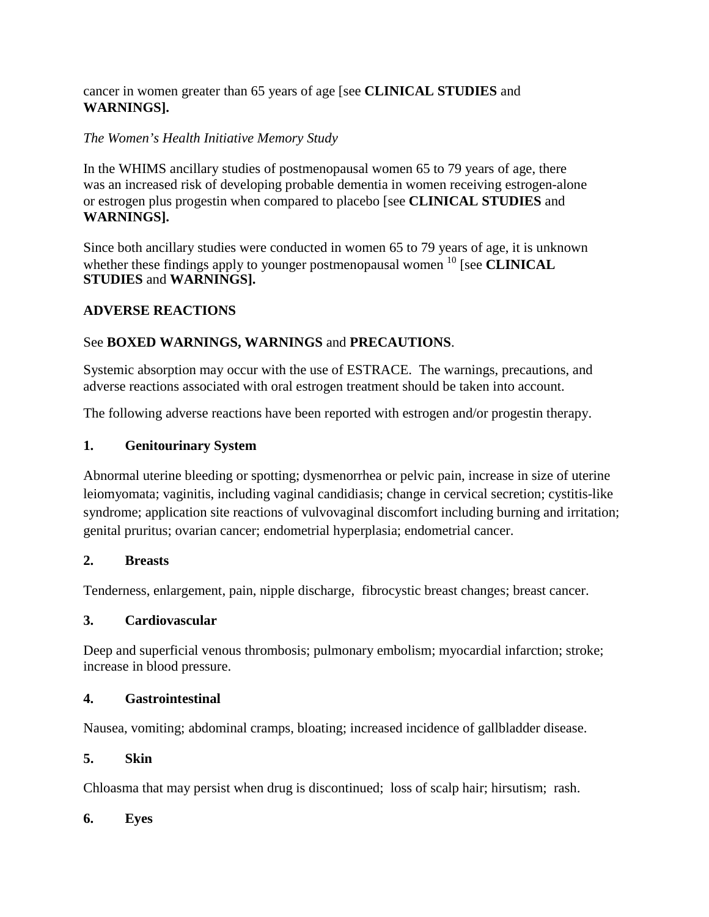#### cancer in women greater than 65 years of age [see **CLINICAL STUDIES** and **WARNINGS].**

## *The Women's Health Initiative Memory Study*

In the WHIMS ancillary studies of postmenopausal women 65 to 79 years of age, there was an increased risk of developing probable dementia in women receiving estrogen-alone or estrogen plus progestin when compared to placebo [see **CLINICAL STUDIES** and **WARNINGS].**

Since both ancillary studies were conducted in women 65 to 79 years of age, it is unknown whether these findings apply to younger postmenopausal women <sup>10</sup> [see **CLINICAL STUDIES** and **WARNINGS].**

## **ADVERSE REACTIONS**

## See **BOXED WARNINGS, WARNINGS** and **PRECAUTIONS**.

Systemic absorption may occur with the use of ESTRACE. The warnings, precautions, and adverse reactions associated with oral estrogen treatment should be taken into account.

The following adverse reactions have been reported with estrogen and/or progestin therapy.

#### **1. Genitourinary System**

Abnormal uterine bleeding or spotting; dysmenorrhea or pelvic pain, increase in size of uterine leiomyomata; vaginitis, including vaginal candidiasis; change in cervical secretion; cystitis-like syndrome; application site reactions of vulvovaginal discomfort including burning and irritation; genital pruritus; ovarian cancer; endometrial hyperplasia; endometrial cancer.

#### **2. Breasts**

Tenderness, enlargement, pain, nipple discharge, fibrocystic breast changes; breast cancer.

#### **3. Cardiovascular**

Deep and superficial venous thrombosis; pulmonary embolism; myocardial infarction; stroke; increase in blood pressure.

#### **4. Gastrointestinal**

Nausea, vomiting; abdominal cramps, bloating; increased incidence of gallbladder disease.

## **5. Skin**

Chloasma that may persist when drug is discontinued; loss of scalp hair; hirsutism; rash.

#### **6. Eyes**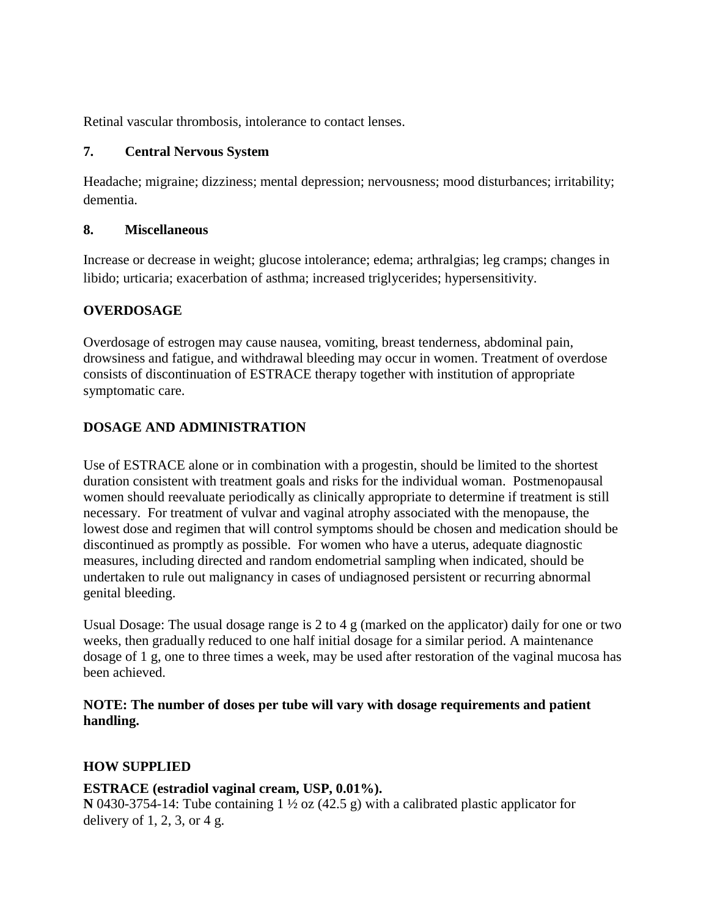Retinal vascular thrombosis, intolerance to contact lenses.

#### **7. Central Nervous System**

Headache; migraine; dizziness; mental depression; nervousness; mood disturbances; irritability; dementia.

#### **8. Miscellaneous**

Increase or decrease in weight; glucose intolerance; edema; arthralgias; leg cramps; changes in libido; urticaria; exacerbation of asthma; increased triglycerides; hypersensitivity.

## **OVERDOSAGE**

Overdosage of estrogen may cause nausea, vomiting, breast tenderness, abdominal pain, drowsiness and fatigue, and withdrawal bleeding may occur in women. Treatment of overdose consists of discontinuation of ESTRACE therapy together with institution of appropriate symptomatic care.

# **DOSAGE AND ADMINISTRATION**

Use of ESTRACE alone or in combination with a progestin, should be limited to the shortest duration consistent with treatment goals and risks for the individual woman. Postmenopausal women should reevaluate periodically as clinically appropriate to determine if treatment is still necessary. For treatment of vulvar and vaginal atrophy associated with the menopause, the lowest dose and regimen that will control symptoms should be chosen and medication should be discontinued as promptly as possible. For women who have a uterus, adequate diagnostic measures, including directed and random endometrial sampling when indicated, should be undertaken to rule out malignancy in cases of undiagnosed persistent or recurring abnormal genital bleeding.

Usual Dosage: The usual dosage range is 2 to 4 g (marked on the applicator) daily for one or two weeks, then gradually reduced to one half initial dosage for a similar period. A maintenance dosage of 1 g, one to three times a week, may be used after restoration of the vaginal mucosa has been achieved.

## **NOTE: The number of doses per tube will vary with dosage requirements and patient handling.**

## **HOW SUPPLIED**

## **ESTRACE (estradiol vaginal cream, USP, 0.01%).**

**N** 0430-3754-14: Tube containing 1 ½ oz (42.5 g) with a calibrated plastic applicator for delivery of  $1, 2, 3$ , or  $4 \text{ g}$ .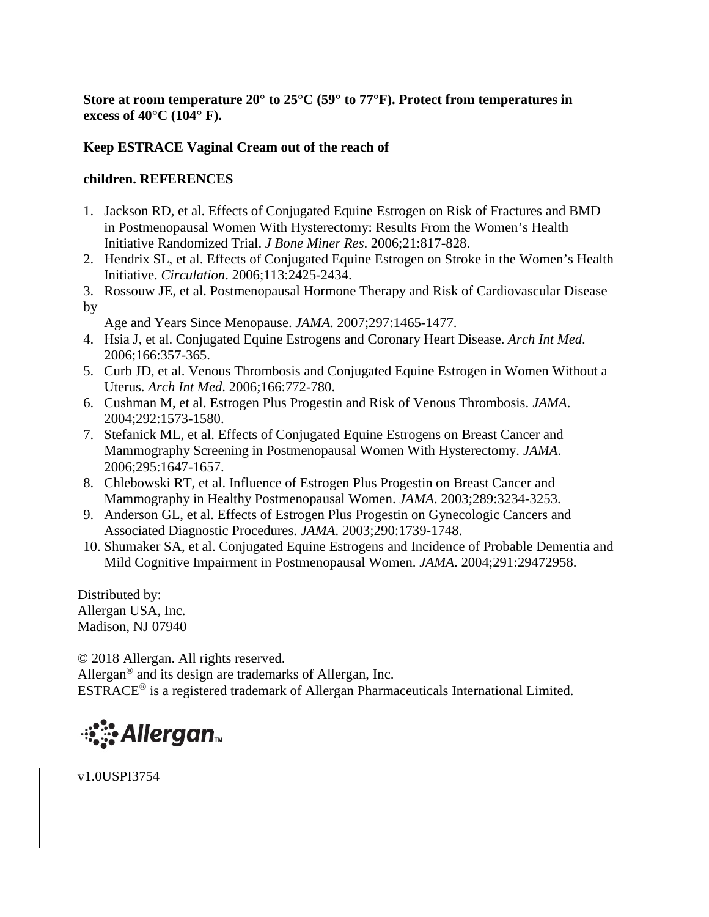**Store at room temperature 20° to 25°C (59° to 77°F). Protect from temperatures in excess of 40°C (104° F).**

#### **Keep ESTRACE Vaginal Cream out of the reach of**

## **children. REFERENCES**

- 1. Jackson RD, et al. Effects of Conjugated Equine Estrogen on Risk of Fractures and BMD in Postmenopausal Women With Hysterectomy: Results From the Women's Health Initiative Randomized Trial. *J Bone Miner Res*. 2006;21:817-828.
- 2. Hendrix SL, et al. Effects of Conjugated Equine Estrogen on Stroke in the Women's Health Initiative. *Circulation*. 2006;113:2425-2434.
- 3. Rossouw JE, et al. Postmenopausal Hormone Therapy and Risk of Cardiovascular Disease by
	- Age and Years Since Menopause. *JAMA*. 2007;297:1465-1477.
- 4. Hsia J, et al. Conjugated Equine Estrogens and Coronary Heart Disease. *Arch Int Med*. 2006;166:357-365.
- 5. Curb JD, et al. Venous Thrombosis and Conjugated Equine Estrogen in Women Without a Uterus. *Arch Int Med*. 2006;166:772-780.
- 6. Cushman M, et al. Estrogen Plus Progestin and Risk of Venous Thrombosis. *JAMA*. 2004;292:1573-1580.
- 7. Stefanick ML, et al. Effects of Conjugated Equine Estrogens on Breast Cancer and Mammography Screening in Postmenopausal Women With Hysterectomy. *JAMA*. 2006;295:1647-1657.
- 8. Chlebowski RT, et al. Influence of Estrogen Plus Progestin on Breast Cancer and Mammography in Healthy Postmenopausal Women. *JAMA*. 2003;289:3234-3253.
- 9. Anderson GL, et al. Effects of Estrogen Plus Progestin on Gynecologic Cancers and Associated Diagnostic Procedures. *JAMA*. 2003;290:1739-1748.
- 10. Shumaker SA, et al. Conjugated Equine Estrogens and Incidence of Probable Dementia and Mild Cognitive Impairment in Postmenopausal Women. *JAMA*. 2004;291:29472958.

Distributed by: Allergan USA, Inc. Madison, NJ 07940

© 2018 Allergan. All rights reserved. Allergan<sup>®</sup> and its design are trademarks of Allergan, Inc. ESTRACE® is a registered trademark of Allergan Pharmaceuticals International Limited.

**ं` Allergan** 

v1.0USPI3754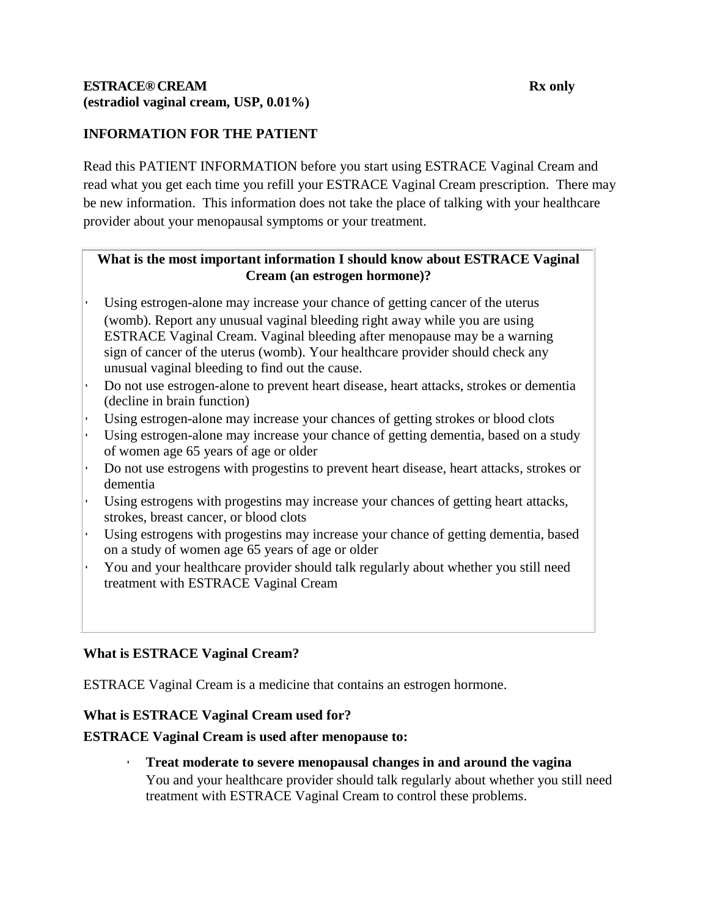## **ESTRACE® CREAM Rx** only **(estradiol vaginal cream, USP, 0.01%)**

## **INFORMATION FOR THE PATIENT**

Read this PATIENT INFORMATION before you start using ESTRACE Vaginal Cream and read what you get each time you refill your ESTRACE Vaginal Cream prescription. There may be new information. This information does not take the place of talking with your healthcare provider about your menopausal symptoms or your treatment.

#### **What is the most important information I should know about ESTRACE Vaginal Cream (an estrogen hormone)?**

- Using estrogen-alone may increase your chance of getting cancer of the uterus (womb). Report any unusual vaginal bleeding right away while you are using ESTRACE Vaginal Cream. Vaginal bleeding after menopause may be a warning sign of cancer of the uterus (womb). Your healthcare provider should check any unusual vaginal bleeding to find out the cause.
- Do not use estrogen-alone to prevent heart disease, heart attacks, strokes or dementia (decline in brain function)
- Using estrogen-alone may increase your chances of getting strokes or blood clots
- Using estrogen-alone may increase your chance of getting dementia, based on a study of women age 65 years of age or older
- Do not use estrogens with progestins to prevent heart disease, heart attacks, strokes or dementia
- Using estrogens with progestins may increase your chances of getting heart attacks, strokes, breast cancer, or blood clots
- Using estrogens with progestins may increase your chance of getting dementia, based on a study of women age 65 years of age or older
- You and your healthcare provider should talk regularly about whether you still need treatment with ESTRACE Vaginal Cream

# **What is ESTRACE Vaginal Cream?**

ESTRACE Vaginal Cream is a medicine that contains an estrogen hormone.

## **What is ESTRACE Vaginal Cream used for?**

#### **ESTRACE Vaginal Cream is used after menopause to:**

• **Treat moderate to severe menopausal changes in and around the vagina** You and your healthcare provider should talk regularly about whether you still need treatment with ESTRACE Vaginal Cream to control these problems.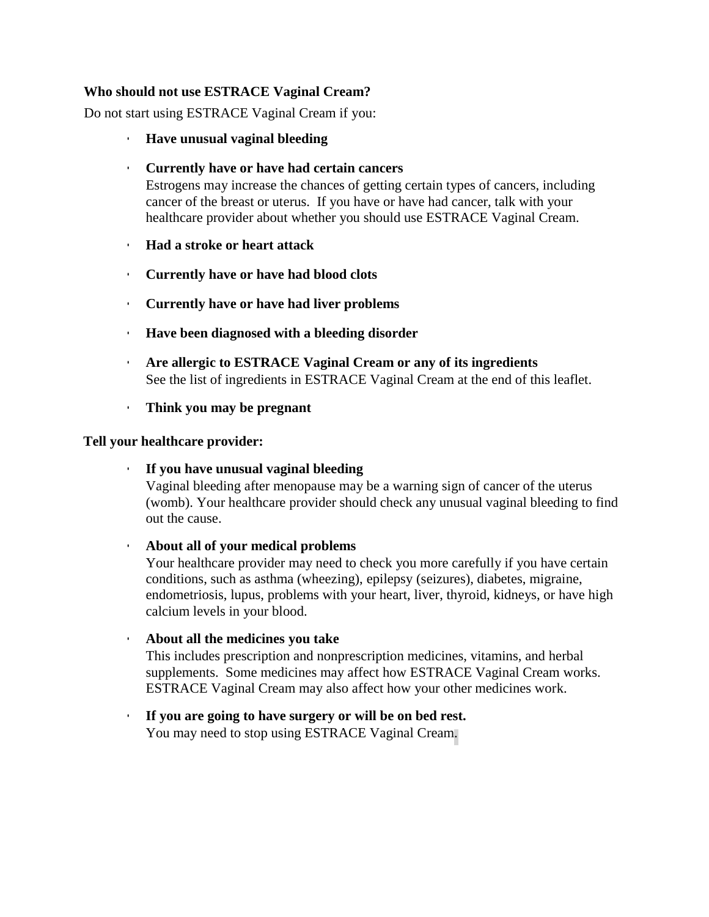#### **Who should not use ESTRACE Vaginal Cream?**

Do not start using ESTRACE Vaginal Cream if you:

• **Have unusual vaginal bleeding**

#### • **Currently have or have had certain cancers**

Estrogens may increase the chances of getting certain types of cancers, including cancer of the breast or uterus. If you have or have had cancer, talk with your healthcare provider about whether you should use ESTRACE Vaginal Cream.

- **Had a stroke or heart attack**
- **Currently have or have had blood clots**
- **Currently have or have had liver problems**
- **Have been diagnosed with a bleeding disorder**
- **Are allergic to ESTRACE Vaginal Cream or any of its ingredients** See the list of ingredients in ESTRACE Vaginal Cream at the end of this leaflet.
- **Think you may be pregnant**

#### **Tell your healthcare provider:**

#### • **If you have unusual vaginal bleeding**

Vaginal bleeding after menopause may be a warning sign of cancer of the uterus (womb). Your healthcare provider should check any unusual vaginal bleeding to find out the cause.

#### • **About all of your medical problems**

Your healthcare provider may need to check you more carefully if you have certain conditions, such as asthma (wheezing), epilepsy (seizures), diabetes, migraine, endometriosis, lupus, problems with your heart, liver, thyroid, kidneys, or have high calcium levels in your blood.

#### • **About all the medicines you take**

This includes prescription and nonprescription medicines, vitamins, and herbal supplements. Some medicines may affect how ESTRACE Vaginal Cream works. ESTRACE Vaginal Cream may also affect how your other medicines work.

#### • **If you are going to have surgery or will be on bed rest.**

You may need to stop using ESTRACE Vaginal Cream.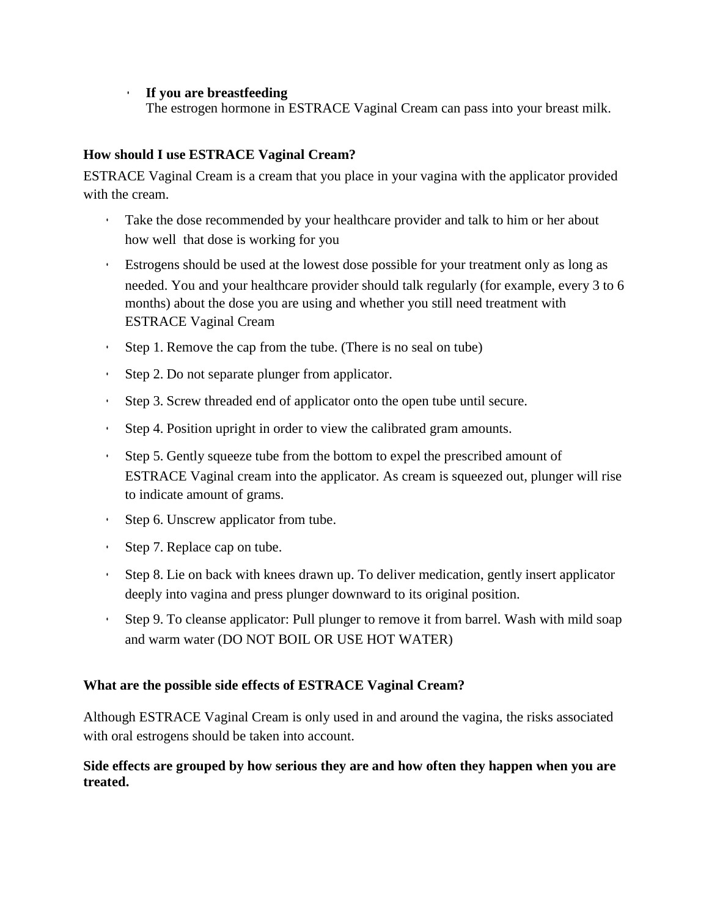## • **If you are breastfeeding**

The estrogen hormone in ESTRACE Vaginal Cream can pass into your breast milk.

## **How should I use ESTRACE Vaginal Cream?**

ESTRACE Vaginal Cream is a cream that you place in your vagina with the applicator provided with the cream.

- Take the dose recommended by your healthcare provider and talk to him or her about how well that dose is working for you
- Estrogens should be used at the lowest dose possible for your treatment only as long as needed. You and your healthcare provider should talk regularly (for example, every 3 to 6 months) about the dose you are using and whether you still need treatment with ESTRACE Vaginal Cream
- Step 1. Remove the cap from the tube. (There is no seal on tube)
- Step 2. Do not separate plunger from applicator.
- Step 3. Screw threaded end of applicator onto the open tube until secure.
- Step 4. Position upright in order to view the calibrated gram amounts.
- Step 5. Gently squeeze tube from the bottom to expel the prescribed amount of ESTRACE Vaginal cream into the applicator. As cream is squeezed out, plunger will rise to indicate amount of grams.
- Step 6. Unscrew applicator from tube.
- Step 7. Replace cap on tube.
- Step 8. Lie on back with knees drawn up. To deliver medication, gently insert applicator deeply into vagina and press plunger downward to its original position.
- Step 9. To cleanse applicator: Pull plunger to remove it from barrel. Wash with mild soap and warm water (DO NOT BOIL OR USE HOT WATER)

## **What are the possible side effects of ESTRACE Vaginal Cream?**

Although ESTRACE Vaginal Cream is only used in and around the vagina, the risks associated with oral estrogens should be taken into account.

## **Side effects are grouped by how serious they are and how often they happen when you are treated.**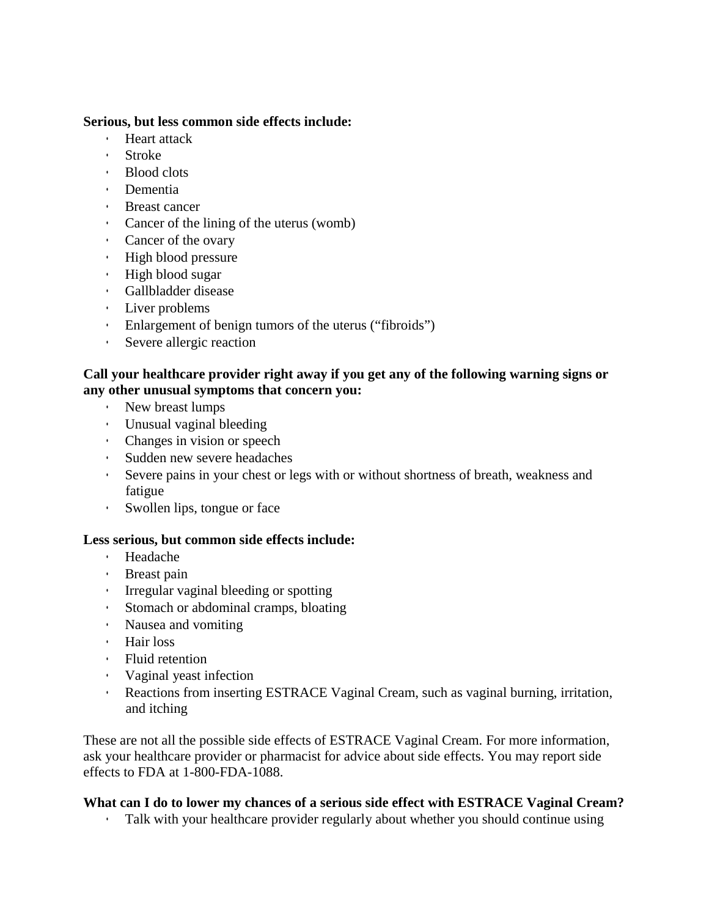#### **Serious, but less common side effects include:**

- Heart attack
- Stroke
- Blood clots
- Dementia
- Breast cancer
- Cancer of the lining of the uterus (womb)
- Cancer of the ovary
- High blood pressure
- High blood sugar
- Gallbladder disease
- Liver problems
- Enlargement of benign tumors of the uterus ("fibroids")
- Severe allergic reaction

## **Call your healthcare provider right away if you get any of the following warning signs or any other unusual symptoms that concern you:**

- New breast lumps
- Unusual vaginal bleeding
- Changes in vision or speech
- Sudden new severe headaches
- Severe pains in your chest or legs with or without shortness of breath, weakness and fatigue
- Swollen lips, tongue or face

## **Less serious, but common side effects include:**

- Headache
- Breast pain
- Irregular vaginal bleeding or spotting
- Stomach or abdominal cramps, bloating
- Nausea and vomiting
- Hair loss
- Fluid retention
- Vaginal yeast infection
- Reactions from inserting ESTRACE Vaginal Cream, such as vaginal burning, irritation, and itching

These are not all the possible side effects of ESTRACE Vaginal Cream. For more information, ask your healthcare provider or pharmacist for advice about side effects. You may report side effects to FDA at 1-800-FDA-1088.

## **What can I do to lower my chances of a serious side effect with ESTRACE Vaginal Cream?**

• Talk with your healthcare provider regularly about whether you should continue using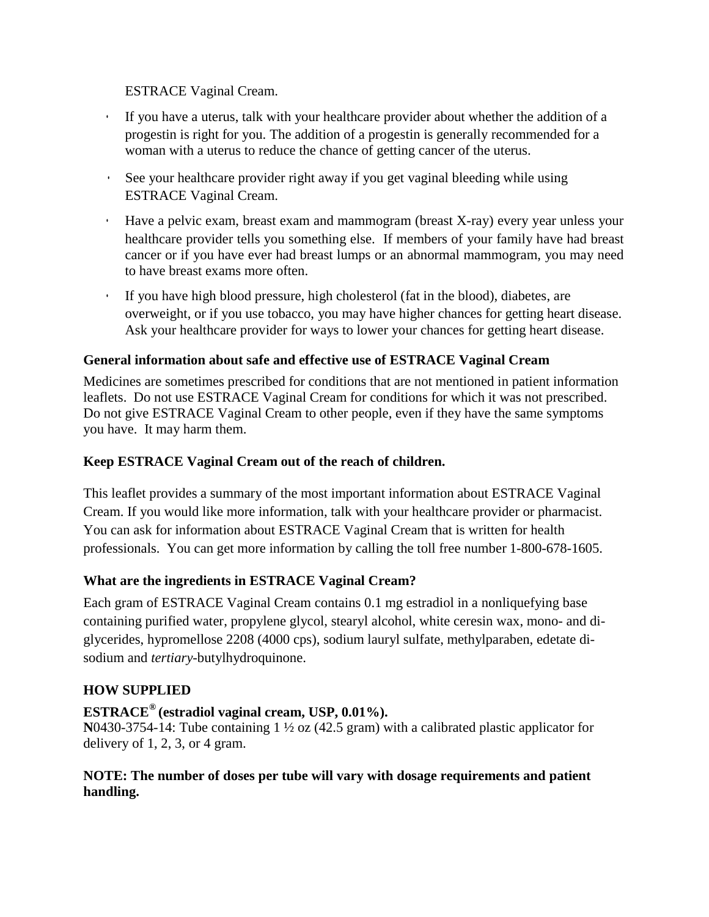ESTRACE Vaginal Cream.

- If you have a uterus, talk with your healthcare provider about whether the addition of a progestin is right for you. The addition of a progestin is generally recommended for a woman with a uterus to reduce the chance of getting cancer of the uterus.
- See your healthcare provider right away if you get vaginal bleeding while using ESTRACE Vaginal Cream.
- Have a pelvic exam, breast exam and mammogram (breast X-ray) every year unless your healthcare provider tells you something else. If members of your family have had breast cancer or if you have ever had breast lumps or an abnormal mammogram, you may need to have breast exams more often.
- If you have high blood pressure, high cholesterol (fat in the blood), diabetes, are overweight, or if you use tobacco, you may have higher chances for getting heart disease. Ask your healthcare provider for ways to lower your chances for getting heart disease.

## **General information about safe and effective use of ESTRACE Vaginal Cream**

Medicines are sometimes prescribed for conditions that are not mentioned in patient information leaflets. Do not use ESTRACE Vaginal Cream for conditions for which it was not prescribed. Do not give ESTRACE Vaginal Cream to other people, even if they have the same symptoms you have. It may harm them.

# **Keep ESTRACE Vaginal Cream out of the reach of children.**

This leaflet provides a summary of the most important information about ESTRACE Vaginal Cream. If you would like more information, talk with your healthcare provider or pharmacist. You can ask for information about ESTRACE Vaginal Cream that is written for health professionals. You can get more information by calling the toll free number 1-800-678-1605.

# **What are the ingredients in ESTRACE Vaginal Cream?**

Each gram of ESTRACE Vaginal Cream contains 0.1 mg estradiol in a nonliquefying base containing purified water, propylene glycol, stearyl alcohol, white ceresin wax, mono- and diglycerides, hypromellose 2208 (4000 cps), sodium lauryl sulfate, methylparaben, edetate disodium and *tertiary*-butylhydroquinone.

## **HOW SUPPLIED**

# **ESTRACE® (estradiol vaginal cream, USP, 0.01%).**

**N**0430-3754-14: Tube containing 1 ½ oz (42.5 gram) with a calibrated plastic applicator for delivery of  $1, 2, 3$ , or  $4$  gram.

## **NOTE: The number of doses per tube will vary with dosage requirements and patient handling.**